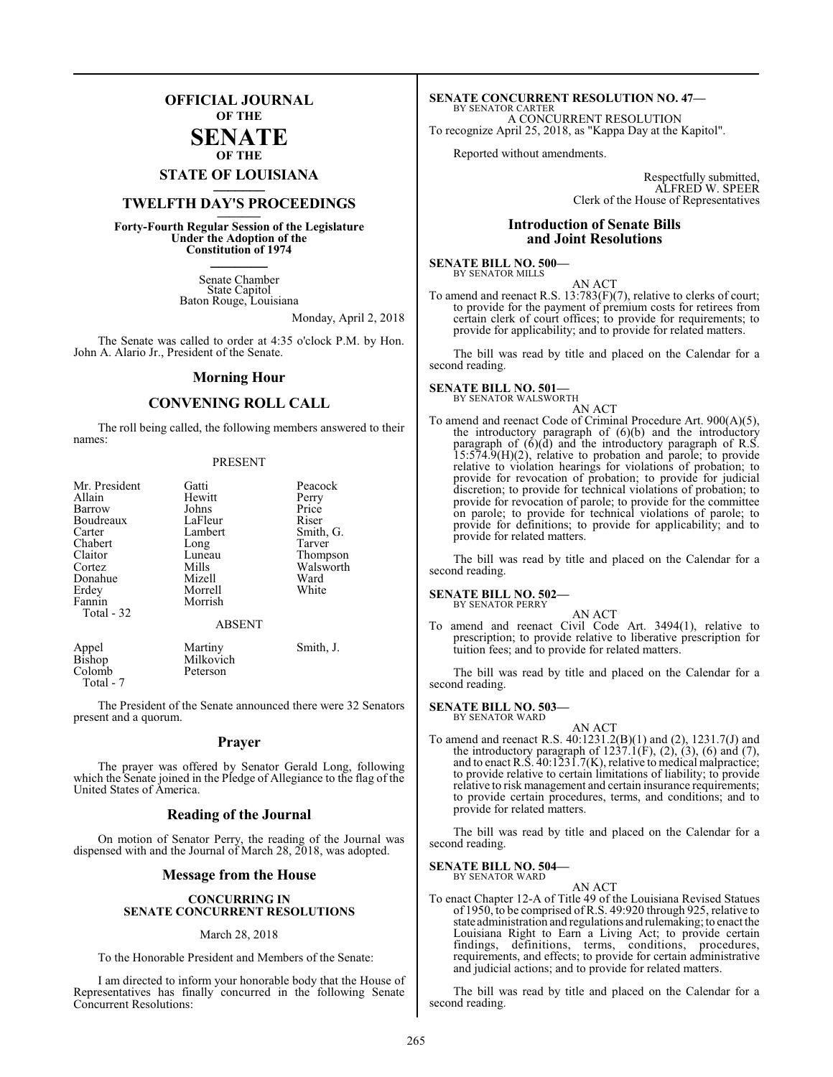### **OFFICIAL JOURNAL OF THE**

### **SENATE OF THE**

# **STATE OF LOUISIANA \_\_\_\_\_\_\_**

### **TWELFTH DAY'S PROCEEDINGS \_\_\_\_\_\_\_**

**Forty-Fourth Regular Session of the Legislature Under the Adoption of the Constitution of 1974 \_\_\_\_\_\_\_**

> Senate Chamber State Capitol Baton Rouge, Louisiana

> > Monday, April 2, 2018

The Senate was called to order at 4:35 o'clock P.M. by Hon. John A. Alario Jr., President of the Senate.

### **Morning Hour**

### **CONVENING ROLL CALL**

The roll being called, the following members answered to their names:

#### PRESENT

| Mr. President<br>Allain<br>Barrow<br>Boudreaux<br>Carter<br>Chabert<br>Claitor<br>Cortez<br>Donahue<br>Erdey<br>Fannin<br>Total - 32 | Gatti<br>Hewitt<br>Johns<br>LaFleur<br>Lambert<br>Long<br>Luneau<br>Mills<br>Mizell<br>Morrell<br>Morrish<br><b>ABSENT</b> | Peacock<br>Perry<br>Price<br>Riser<br>Smith, G.<br>Tarver<br>Thompson<br>Walsworth<br>Ward<br>White |
|--------------------------------------------------------------------------------------------------------------------------------------|----------------------------------------------------------------------------------------------------------------------------|-----------------------------------------------------------------------------------------------------|
| Appel                                                                                                                                | Martiny                                                                                                                    | Smith, J.                                                                                           |

Bishop Milkovich<br>Colomb Peterson Peterson Total - 7

The President of the Senate announced there were 32 Senators present and a quorum.

### **Prayer**

The prayer was offered by Senator Gerald Long, following which the Senate joined in the Pledge of Allegiance to the flag of the United States of America.

### **Reading of the Journal**

On motion of Senator Perry, the reading of the Journal was dispensed with and the Journal of March 28, 2018, was adopted.

### **Message from the House**

### **CONCURRING IN SENATE CONCURRENT RESOLUTIONS**

### March 28, 2018

To the Honorable President and Members of the Senate:

I am directed to inform your honorable body that the House of Representatives has finally concurred in the following Senate Concurrent Resolutions:

#### **SENATE CONCURRENT RESOLUTION NO. 47—** BY SENATOR CARTER

A CONCURRENT RESOLUTION To recognize April 25, 2018, as "Kappa Day at the Kapitol".

Reported without amendments.

Respectfully submitted, ALFRED W. SPEER Clerk of the House of Representatives

### **Introduction of Senate Bills and Joint Resolutions**

#### **SENATE BILL NO. 500—** BY SENATOR MILLS

AN ACT

To amend and reenact R.S. 13:783(F)(7), relative to clerks of court; to provide for the payment of premium costs for retirees from certain clerk of court offices; to provide for requirements; to provide for applicability; and to provide for related matters.

The bill was read by title and placed on the Calendar for a second reading.

### **SENATE BILL NO. 501—** BY SENATOR WALSWORTH

### AN ACT

To amend and reenact Code of Criminal Procedure Art. 900(A)(5), the introductory paragraph of (6)(b) and the introductory paragraph of (6)(d) and the introductory paragraph of R.S. 15:574.9(H)(2), relative to probation and parole; to provide relative to violation hearings for violations of probation; to provide for revocation of probation; to provide for judicial discretion; to provide for technical violations of probation; to provide for revocation of parole; to provide for the committee on parole; to provide for technical violations of parole; to provide for definitions; to provide for applicability; and to provide for related matters.

The bill was read by title and placed on the Calendar for a second reading.

#### **SENATE BILL NO. 502—** BY SENATOR PERRY

AN ACT

To amend and reenact Civil Code Art. 3494(1), relative to prescription; to provide relative to liberative prescription for tuition fees; and to provide for related matters.

The bill was read by title and placed on the Calendar for a second reading.

#### **SENATE BILL NO. 503—** BY SENATOR WARD

AN ACT To amend and reenact R.S. 40:1231.2(B)(1) and (2), 1231.7(J) and the introductory paragraph of  $1237.1(F)$ ,  $(2)$ ,  $(3)$ ,  $(6)$  and  $(7)$ , and to enact R.S. 40:1231.7(K), relative to medical malpractice; to provide relative to certain limitations of liability; to provide relative to risk management and certain insurance requirements; to provide certain procedures, terms, and conditions; and to provide for related matters.

The bill was read by title and placed on the Calendar for a second reading.

### **SENATE BILL NO. 504—**

BY SENATOR WARD

AN ACT To enact Chapter 12-A of Title 49 of the Louisiana Revised Statues of 1950, to be comprised of R.S. 49:920 through 925, relative to state administration and regulations and rulemaking; to enact the Louisiana Right to Earn a Living Act; to provide certain findings, definitions, terms, conditions, procedures, requirements, and effects; to provide for certain administrative and judicial actions; and to provide for related matters.

The bill was read by title and placed on the Calendar for a second reading.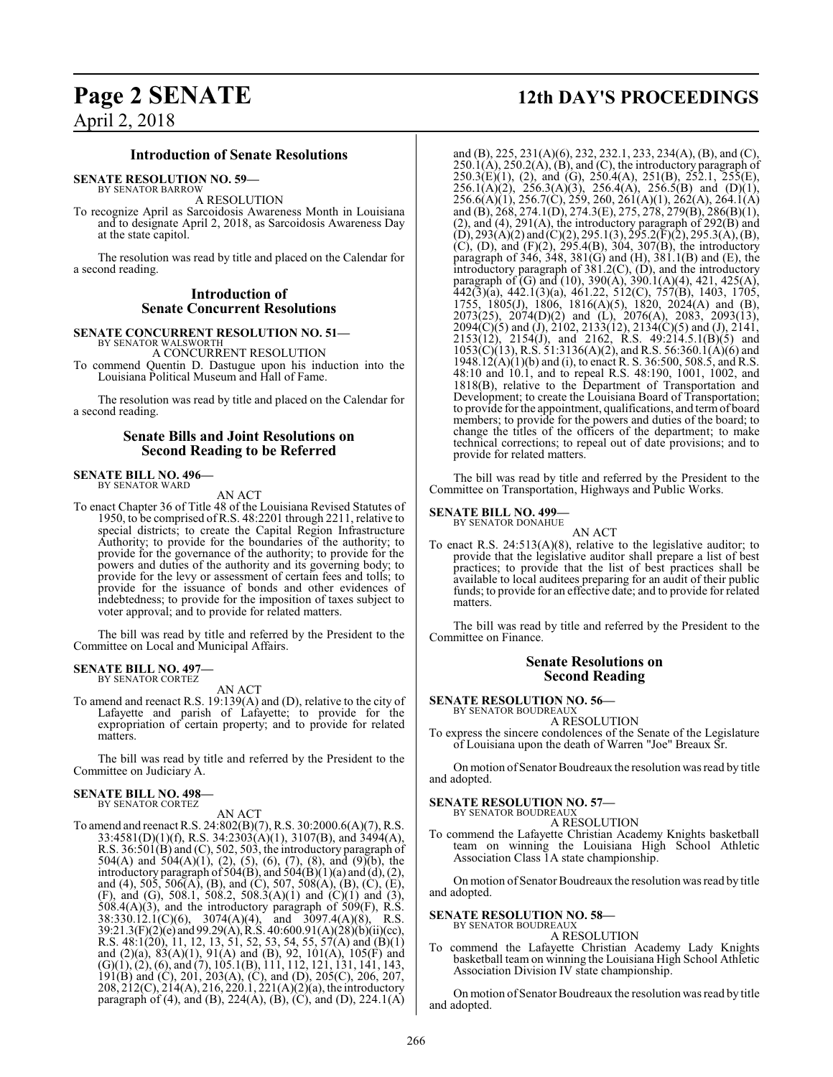## **Page 2 SENATE 12th DAY'S PROCEEDINGS**

### **Introduction of Senate Resolutions**

**SENATE RESOLUTION NO. 59—**

BY SENATOR BARROW A RESOLUTION

To recognize April as Sarcoidosis Awareness Month in Louisiana and to designate April 2, 2018, as Sarcoidosis Awareness Day at the state capitol.

The resolution was read by title and placed on the Calendar for a second reading.

### **Introduction of Senate Concurrent Resolutions**

### **SENATE CONCURRENT RESOLUTION NO. 51—**

BY SENATOR WALSWORTH A CONCURRENT RESOLUTION

To commend Quentin D. Dastugue upon his induction into the Louisiana Political Museum and Hall of Fame.

The resolution was read by title and placed on the Calendar for a second reading.

### **Senate Bills and Joint Resolutions on Second Reading to be Referred**

## **SENATE BILL NO. 496—** BY SENATOR WARD

AN ACT

To enact Chapter 36 of Title 48 of the Louisiana Revised Statutes of 1950, to be comprised ofR.S. 48:2201 through 2211, relative to special districts; to create the Capital Region Infrastructure Authority; to provide for the boundaries of the authority; to provide for the governance of the authority; to provide for the powers and duties of the authority and its governing body; to provide for the levy or assessment of certain fees and tolls; to provide for the issuance of bonds and other evidences of indebtedness; to provide for the imposition of taxes subject to voter approval; and to provide for related matters.

The bill was read by title and referred by the President to the Committee on Local and Municipal Affairs.

## **SENATE BILL NO. 497—** BY SENATOR CORTEZ

AN ACT

To amend and reenact R.S. 19:139(A) and (D), relative to the city of Lafayette and parish of Lafayette; to provide for the expropriation of certain property; and to provide for related matters.

The bill was read by title and referred by the President to the Committee on Judiciary A.

#### **SENATE BILL NO. 498—** BY SENATOR CORTEZ

AN ACT

To amend and reenact R.S. 24:802(B)(7), R.S. 30:2000.6(A)(7), R.S. 33:4581(D)(1)(f), R.S. 34:2303(A)(1), 3107(B), and 3494(A), R.S. 36:501(B) and (C), 502, 503, the introductory paragraph of 504(A) and 504(A)(1), (2), (5), (6), (7), (8), and (9)(b), the introductory paragraph of 504(B), and 504(B)(1)(a) and (d), (2), and (4), 505, 506(A), (B), and (C), 507, 508(A), (B), (C), (E), (F), and (G), 508.1, 508.2, 508.3(A)(1) and (C)(1) and (3),  $508.4(A)(3)$ , and the introductory paragraph of  $509(F)$ , R.S.  $38:330.12.1(C)(6)$ ,  $3074(A)(4)$ , and  $3097.4(A)(8)$ , R.S. 39:21.3(F)(2)(e) and 99.29(A),R.S. 40:600.91(A)(28)(b)(ii)(cc), R.S. 48:1(20), 11, 12, 13, 51, 52, 53, 54, 55, 57(A) and (B)(1) and (2)(a), 83(A)(1), 91(A) and (B), 92, 101(A), 105(F) and (G)(1), (2), (6), and (7), 105.1(B), 111, 112, 121, 131, 141, 143, 191(B) and (C), 201, 203(A), (C), and (D), 205(C), 206, 207, 208, 212(C), 214(A), 216, 220.1, 221(A)(2)(a), the introductory paragraph of (4), and (B), 224(A), (B), (C), and (D), 224.1(A)

and (B), 225, 231(A)(6), 232, 232.1, 233, 234(A), (B), and (C),  $250.1(A)$ ,  $250.2(A)$ ,  $(B)$ , and  $(C)$ , the introductory paragraph of  $250.3(E)(1)$ , (2), and (G),  $250.4(A)$ ,  $251(B)$ ,  $252.1$ ,  $255(E)$ ,  $256.1(A)(2)$ ,  $256.3(A)(3)$ ,  $256.4(A)$ ,  $256.5(B)$  and  $(D)(1)$ , 256.6(A)(1), 256.7(C), 259, 260, 261(A)(1), 262(A), 264.1(A) and (B), 268, 274.1(D), 274.3(E), 275, 278, 279(B), 286(B)(1), (2), and (4), 291(A), the introductory paragraph of 292(B) and  $(D), 293(A)(2)$  and  $(C)(2), 295.1(3), 295.2(F)(2), 295.3(A), (B),$ (C), (D), and (F)(2), 295.4(B), 304, 307(B), the introductory paragraph of 346, 348, 381(G) and (H), 381.1(B) and (E), the introductory paragraph of 381.2(C), (D), and the introductory paragraph of (G) and (10), 390(A), 390.1(A)(4), 421, 425(A), 442(3)(a), 442.1(3)(a), 461.22, 512(C), 757(B), 1403, 1705, 1755, 1805(J), 1806, 1816(A)(5), 1820, 2024(A) and (B), 2073(25), 2074(D)(2) and (L), 2076(A), 2083, 2093(13),  $2094(C)(5)$  and  $(J), 2102, 2133(12), 2134(C)(5)$  and  $(J), 2141,$ 2153(12), 2154(J), and 2162, R.S. 49:214.5.1(B)(5) and 1053(C)(13), R.S. 51:3136(A)(2), and R.S. 56:360.1(A)(6) and 1948.12(A)(1)(b) and (i), to enact R. S. 36:500, 508.5, and R.S. 48:10 and 10.1, and to repeal R.S. 48:190, 1001, 1002, and 1818(B), relative to the Department of Transportation and Development; to create the Louisiana Board of Transportation; to provide for the appointment, qualifications, and termof board members; to provide for the powers and duties of the board; to change the titles of the officers of the department; to make technical corrections; to repeal out of date provisions; and to provide for related matters.

The bill was read by title and referred by the President to the Committee on Transportation, Highways and Public Works.

### **SENATE BILL NO. 499—**

BY SENATOR DONAHUE AN ACT

To enact R.S. 24:513(A)(8), relative to the legislative auditor; to provide that the legislative auditor shall prepare a list of best practices; to provide that the list of best practices shall be available to local auditees preparing for an audit of their public funds; to provide for an effective date; and to provide for related matters.

The bill was read by title and referred by the President to the Committee on Finance.

### **Senate Resolutions on Second Reading**

**SENATE RESOLUTION NO. 56—**<br>BY SENATOR BOUDREAUX

A RESOLUTION

To express the sincere condolences of the Senate of the Legislature of Louisiana upon the death of Warren "Joe" Breaux Sr.

On motion of Senator Boudreaux the resolution was read by title and adopted.

### **SENATE RESOLUTION NO. 57—**

BY SENATOR BOUDREAUX A RESOLUTION

To commend the Lafayette Christian Academy Knights basketball team on winning the Louisiana High School Athletic Association Class 1A state championship.

On motion of Senator Boudreaux the resolution was read by title and adopted.

#### **SENATE RESOLUTION NO. 58—** BY SENATOR BOUDREAUX

A RESOLUTION

To commend the Lafayette Christian Academy Lady Knights basketball team on winning the Louisiana High School Athletic Association Division IV state championship.

On motion of Senator Boudreaux the resolution was read by title and adopted.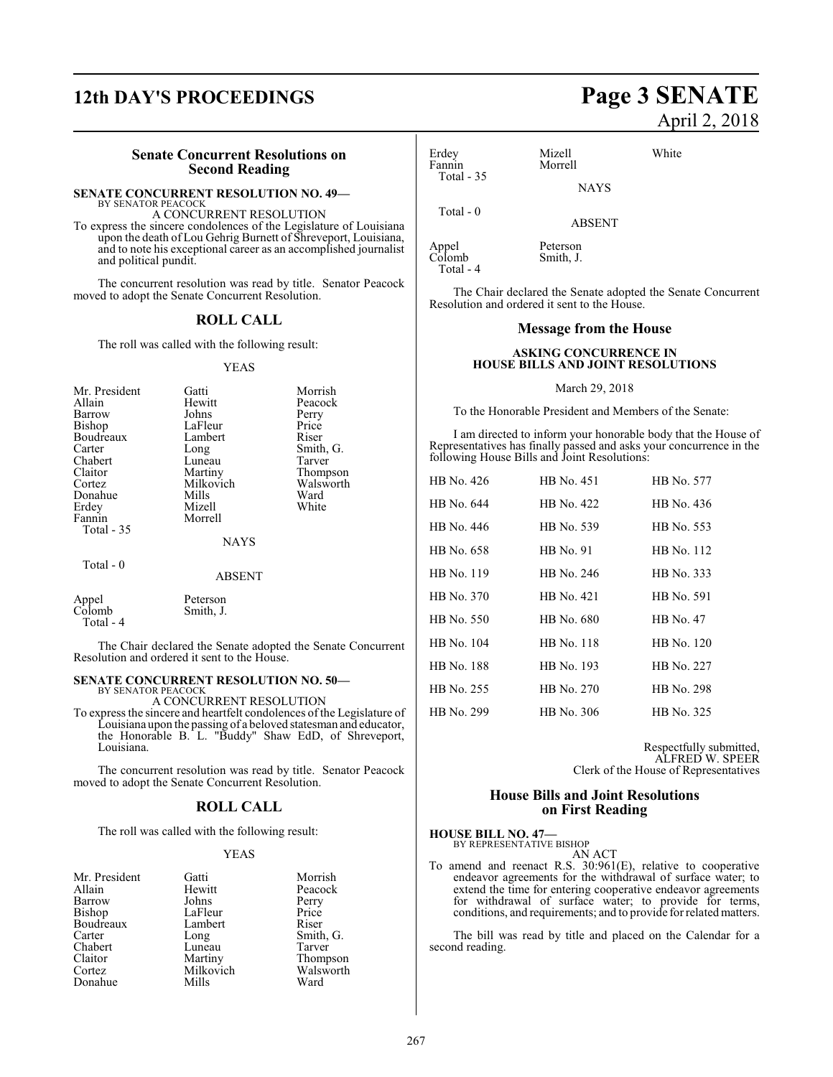### **12th DAY'S PROCEEDINGS Page 3 SENATE**

### **Senate Concurrent Resolutions on Second Reading**

### **SENATE CONCURRENT RESOLUTION NO. 49—**

BY SENATOR PEACOCK A CONCURRENT RESOLUTION

To express the sincere condolences of the Legislature of Louisiana upon the death of Lou Gehrig Burnett of Shreveport, Louisiana, and to note his exceptional career as an accomplished journalist and political pundit.

The concurrent resolution was read by title. Senator Peacock moved to adopt the Senate Concurrent Resolution.

### **ROLL CALL**

The roll was called with the following result:

#### YEAS

| Mr. President       | Gatti         | Morrish   |
|---------------------|---------------|-----------|
| Allain              | Hewitt        | Peacock   |
| Barrow              | Johns         | Perry     |
| Bishop              | LaFleur       | Price     |
| Boudreaux           | Lambert       | Riser     |
| Carter              |               |           |
|                     | Long          | Smith, G. |
| Chabert             | Luneau        | Tarver    |
| Claitor             | Martiny       | Thompson  |
| Cortez              | Milkovich     | Walsworth |
| Donahue             | Mills         | Ward      |
| Erdey               | Mizell        | White     |
| Fannin              | Morrell       |           |
| Total - 35          |               |           |
|                     | <b>NAYS</b>   |           |
| Total - 0           |               |           |
|                     | <b>ABSENT</b> |           |
| Appel               | Peterson      |           |
| Colomb<br>Total - 4 | Smith, J.     |           |

The Chair declared the Senate adopted the Senate Concurrent Resolution and ordered it sent to the House.

#### **SENATE CONCURRENT RESOLUTION NO. 50—** BY SENATOR PEACOCK

A CONCURRENT RESOLUTION

To express the sincere and heartfelt condolences of the Legislature of Louisiana upon the passing of a beloved statesman and educator, the Honorable B. L. "Buddy" Shaw EdD, of Shreveport, Louisiana.

The concurrent resolution was read by title. Senator Peacock moved to adopt the Senate Concurrent Resolution.

### **ROLL CALL**

The roll was called with the following result:

### YEAS

| Mr. President | Gatti     | Morrish   |
|---------------|-----------|-----------|
| Allain        | Hewitt    | Peacock   |
| Barrow        | Johns     | Perry     |
| Bishop        | LaFleur   | Price     |
| Boudreaux     | Lambert   | Riser     |
| Carter        | Long      | Smith, G. |
| Chabert       | Luneau    | Tarver    |
| Claitor       | Martiny   | Thompson  |
| Cortez        | Milkovich | Walsworth |
| Donahue       | Mills     | Ward      |

# April 2, 2018

| Erdey<br>Fannin | Mizell<br>Morrell | White |
|-----------------|-------------------|-------|
| Total $-35$     | <b>NAYS</b>       |       |
| Total - $0$     |                   |       |

ABSENT

Appel Peterson<br>Colomb Smith, J. Smith, J.

Total - 4

The Chair declared the Senate adopted the Senate Concurrent Resolution and ordered it sent to the House.

### **Message from the House**

### **ASKING CONCURRENCE IN HOUSE BILLS AND JOINT RESOLUTIONS**

#### March 29, 2018

To the Honorable President and Members of the Senate:

I am directed to inform your honorable body that the House of Representatives has finally passed and asks your concurrence in the following House Bills and Joint Resolutions:

| HB No. 426        | HB No. 451        | HB No. 577 |
|-------------------|-------------------|------------|
| HB No. 644        | HB No. 422        | HB No. 436 |
| HB No. 446        | HB No. 539        | HB No. 553 |
| HB No. 658        | HB No. 91         | HB No. 112 |
| HB No. 119        | HB No. 246        | HB No. 333 |
| HB No. 370        | HB No. 421        | HB No. 591 |
| HB No. 550        | HB No. 680        | HB No. 47  |
| HB No. 104        | <b>HB</b> No. 118 | HB No. 120 |
| <b>HB</b> No. 188 | HB No. 193        | HB No. 227 |
| HB No. 255        | HB No. 270        | HB No. 298 |
| HB No. 299        | HB No. 306        | HB No. 325 |

Respectfully submitted, ALFRED W. SPEER Clerk of the House of Representatives

### **House Bills and Joint Resolutions on First Reading**

### **HOUSE BILL NO. 47—** BY REPRESENTATIVE BISHOP

AN ACT To amend and reenact R.S. 30:961(E), relative to cooperative endeavor agreements for the withdrawal of surface water; to extend the time for entering cooperative endeavor agreements for withdrawal of surface water; to provide for terms, conditions, and requirements; and to provide for related matters.

The bill was read by title and placed on the Calendar for a second reading.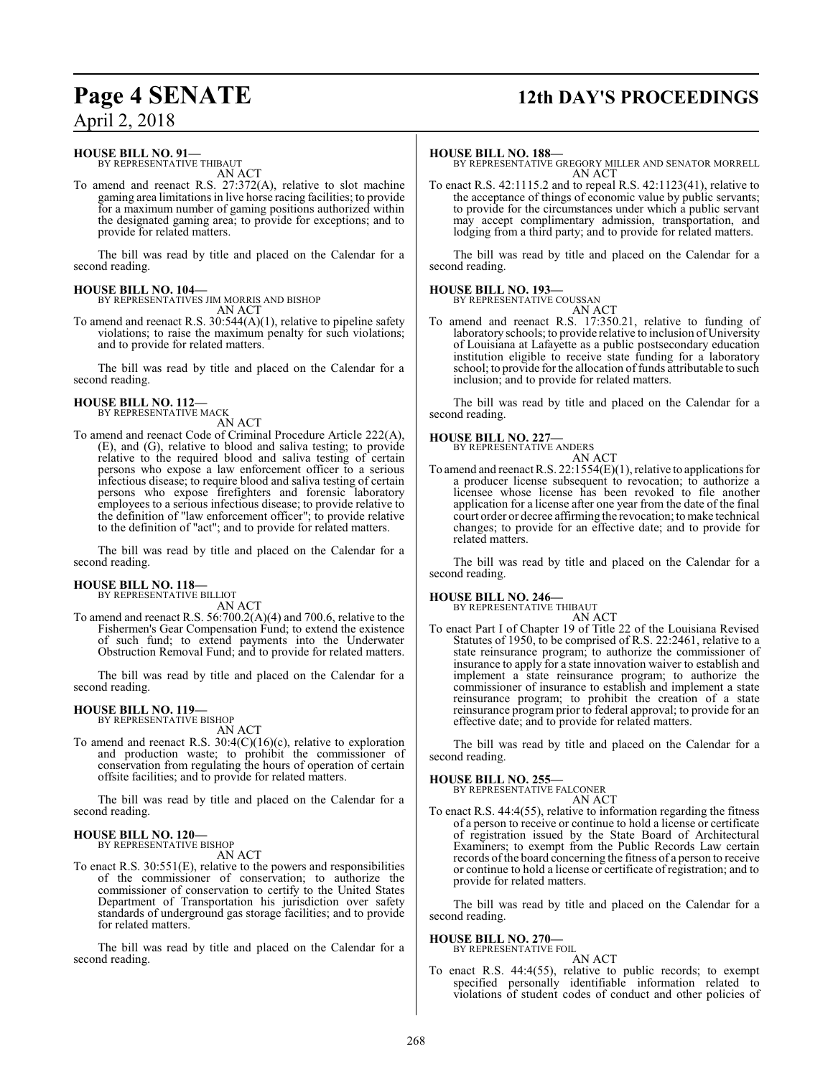## **Page 4 SENATE 12th DAY'S PROCEEDINGS**

### **HOUSE BILL NO. 91—**

BY REPRESENTATIVE THIBAUT AN ACT

To amend and reenact R.S. 27:372(A), relative to slot machine gaming area limitations in live horse racing facilities; to provide for a maximum number of gaming positions authorized within the designated gaming area; to provide for exceptions; and to provide for related matters.

The bill was read by title and placed on the Calendar for a second reading.

### **HOUSE BILL NO. 104—**

BY REPRESENTATIVES JIM MORRIS AND BISHOP AN ACT

To amend and reenact R.S. 30:544(A)(1), relative to pipeline safety violations; to raise the maximum penalty for such violations; and to provide for related matters.

The bill was read by title and placed on the Calendar for a second reading.

#### **HOUSE BILL NO. 112—** BY REPRESENTATIVE MACK

AN ACT

To amend and reenact Code of Criminal Procedure Article 222(A), (E), and (G), relative to blood and saliva testing; to provide relative to the required blood and saliva testing of certain persons who expose a law enforcement officer to a serious infectious disease; to require blood and saliva testing of certain persons who expose firefighters and forensic laboratory employees to a serious infectious disease; to provide relative to the definition of "law enforcement officer"; to provide relative to the definition of "act"; and to provide for related matters.

The bill was read by title and placed on the Calendar for a second reading.

### **HOUSE BILL NO. 118—**

BY REPRESENTATIVE BILLIOT

AN ACT To amend and reenact R.S. 56:700.2(A)(4) and 700.6, relative to the Fishermen's Gear Compensation Fund; to extend the existence of such fund; to extend payments into the Underwater Obstruction Removal Fund; and to provide for related matters.

The bill was read by title and placed on the Calendar for a second reading.

### **HOUSE BILL NO. 119—** BY REPRESENTATIVE BISHOP

AN ACT

To amend and reenact R.S. 30:4(C)(16)(c), relative to exploration and production waste; to prohibit the commissioner of conservation from regulating the hours of operation of certain offsite facilities; and to provide for related matters.

The bill was read by title and placed on the Calendar for a second reading.

### **HOUSE BILL NO. 120—**

BY REPRESENTATIVE BISHOP

AN ACT

To enact R.S. 30:551(E), relative to the powers and responsibilities of the commissioner of conservation; to authorize the commissioner of conservation to certify to the United States Department of Transportation his jurisdiction over safety standards of underground gas storage facilities; and to provide for related matters.

The bill was read by title and placed on the Calendar for a second reading.

### **HOUSE BILL NO. 188—**

BY REPRESENTATIVE GREGORY MILLER AND SENATOR MORRELL AN ACT

To enact R.S. 42:1115.2 and to repeal R.S. 42:1123(41), relative to the acceptance of things of economic value by public servants; to provide for the circumstances under which a public servant may accept complimentary admission, transportation, and lodging from a third party; and to provide for related matters.

The bill was read by title and placed on the Calendar for a second reading.

### **HOUSE BILL NO. 193—**

BY REPRESENTATIVE COUSSAN

AN ACT To amend and reenact R.S. 17:350.21, relative to funding of laboratory schools; to provide relative to inclusion of University of Louisiana at Lafayette as a public postsecondary education institution eligible to receive state funding for a laboratory school; to provide for the allocation of funds attributable to such inclusion; and to provide for related matters.

The bill was read by title and placed on the Calendar for a second reading.

### **HOUSE BILL NO. 227—**



To amend and reenact R.S. 22:1554(E)(1), relative to applications for a producer license subsequent to revocation; to authorize a licensee whose license has been revoked to file another application for a license after one year from the date of the final court order or decree affirming the revocation; tomake technical changes; to provide for an effective date; and to provide for related matters.

The bill was read by title and placed on the Calendar for a second reading.

## **HOUSE BILL NO. 246—** BY REPRESENTATIVE THIBAUT

AN ACT

To enact Part I of Chapter 19 of Title 22 of the Louisiana Revised Statutes of 1950, to be comprised of R.S. 22:2461, relative to a state reinsurance program; to authorize the commissioner of insurance to apply for a state innovation waiver to establish and implement a state reinsurance program; to authorize the commissioner of insurance to establish and implement a state reinsurance program; to prohibit the creation of a state reinsurance program prior to federal approval; to provide for an effective date; and to provide for related matters.

The bill was read by title and placed on the Calendar for a second reading.

### **HOUSE BILL NO. 255—**

BY REPRESENTATIVE FALCONER AN ACT

To enact R.S. 44:4(55), relative to information regarding the fitness of a person to receive or continue to hold a license or certificate of registration issued by the State Board of Architectural Examiners; to exempt from the Public Records Law certain records of the board concerning the fitness of a person to receive or continue to hold a license or certificate of registration; and to provide for related matters.

The bill was read by title and placed on the Calendar for a second reading.

## **HOUSE BILL NO. 270—** BY REPRESENTATIVE FOIL

AN ACT To enact R.S. 44:4(55), relative to public records; to exempt specified personally identifiable information related to violations of student codes of conduct and other policies of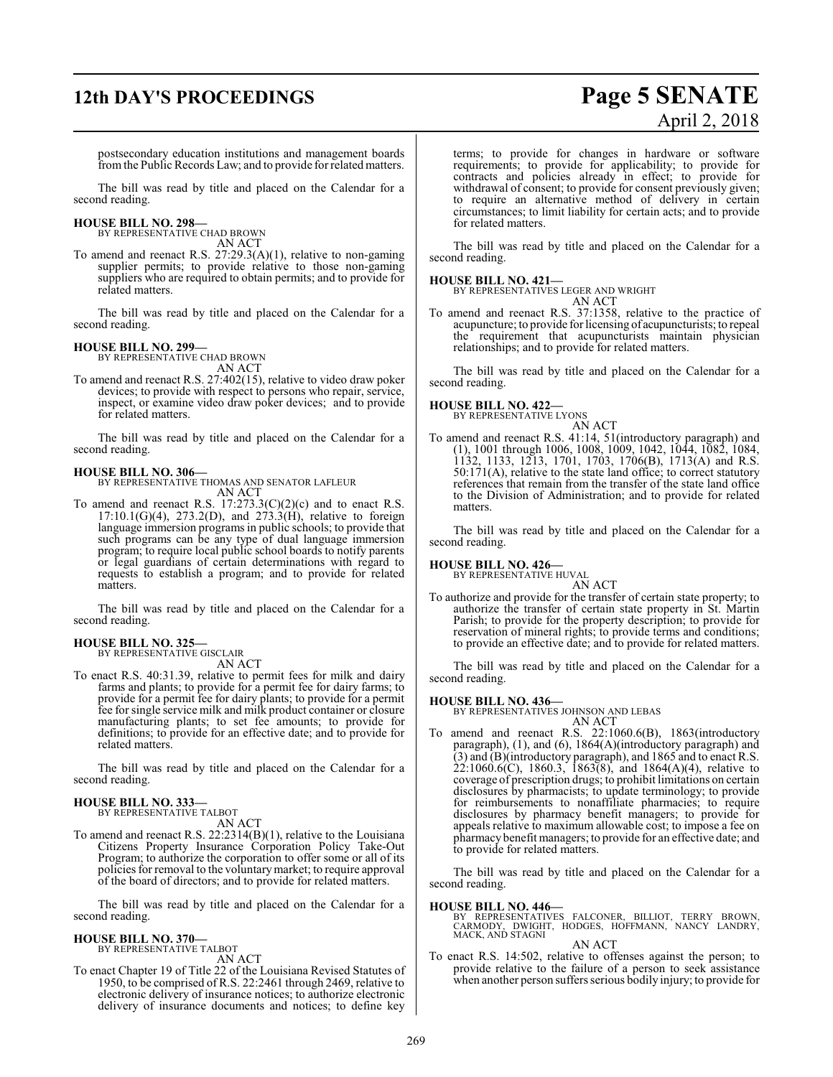# **12th DAY'S PROCEEDINGS Page 5 SENATE**

# April 2, 2018

postsecondary education institutions and management boards fromthe Public Records Law; and to provide forrelated matters.

The bill was read by title and placed on the Calendar for a second reading.

### **HOUSE BILL NO. 298—** BY REPRESENTATIVE CHAD BROWN

AN ACT

To amend and reenact R.S. 27:29.3(A)(1), relative to non-gaming supplier permits; to provide relative to those non-gaming suppliers who are required to obtain permits; and to provide for related matters.

The bill was read by title and placed on the Calendar for a second reading.

### **HOUSE BILL NO. 299—**

BY REPRESENTATIVE CHAD BROWN AN ACT

To amend and reenact R.S. 27:402(15), relative to video draw poker devices; to provide with respect to persons who repair, service, inspect, or examine video draw poker devices; and to provide for related matters.

The bill was read by title and placed on the Calendar for a second reading.

**HOUSE BILL NO. 306—** BY REPRESENTATIVE THOMAS AND SENATOR LAFLEUR AN ACT

To amend and reenact R.S.  $17:273.3(C)(2)(c)$  and to enact R.S.  $17:10.1(G)(4)$ ,  $273.2(D)$ , and  $273.3(H)$ , relative to foreign language immersion programs in public schools; to provide that such programs can be any type of dual language immersion program; to require local public school boards to notify parents or legal guardians of certain determinations with regard to requests to establish a program; and to provide for related matters.

The bill was read by title and placed on the Calendar for a second reading.

### **HOUSE BILL NO. 325—** BY REPRESENTATIVE GISCLAIR

AN ACT

To enact R.S. 40:31.39, relative to permit fees for milk and dairy farms and plants; to provide for a permit fee for dairy farms; to provide for a permit fee for dairy plants; to provide for a permit fee for single service milk and milk product container or closure manufacturing plants; to set fee amounts; to provide for definitions; to provide for an effective date; and to provide for related matters.

The bill was read by title and placed on the Calendar for a second reading.

#### **HOUSE BILL NO. 333—** BY REPRESENTATIVE TALBOT

AN ACT

To amend and reenact R.S. 22:2314(B)(1), relative to the Louisiana Citizens Property Insurance Corporation Policy Take-Out Program; to authorize the corporation to offer some or all of its policies for removal to the voluntarymarket; to require approval of the board of directors; and to provide for related matters.

The bill was read by title and placed on the Calendar for a second reading.

#### **HOUSE BILL NO. 370—** BY REPRESENTATIVE TALBOT

AN ACT

To enact Chapter 19 of Title 22 of the Louisiana Revised Statutes of 1950, to be comprised of R.S. 22:2461 through 2469, relative to electronic delivery of insurance notices; to authorize electronic delivery of insurance documents and notices; to define key

terms; to provide for changes in hardware or software requirements; to provide for applicability; to provide for contracts and policies already in effect; to provide for withdrawal of consent; to provide for consent previously given; to require an alternative method of delivery in certain circumstances; to limit liability for certain acts; and to provide for related matters.

The bill was read by title and placed on the Calendar for a second reading.

### **HOUSE BILL NO. 421—**

BY REPRESENTATIVES LEGER AND WRIGHT AN ACT

To amend and reenact R.S. 37:1358, relative to the practice of acupuncture; to provide for licensing of acupuncturists; to repeal the requirement that acupuncturists maintain physician relationships; and to provide for related matters.

The bill was read by title and placed on the Calendar for a second reading.

### **HOUSE BILL NO. 422—**

BY REPRESENTATIVE LYONS

AN ACT To amend and reenact R.S. 41:14, 51(introductory paragraph) and (1), 1001 through 1006, 1008, 1009, 1042, 1044, 1082, 1084, 1132, 1133, 1213, 1701, 1703, 1706(B), 1713(A) and R.S. 50:171(A), relative to the state land office; to correct statutory references that remain from the transfer of the state land office to the Division of Administration; and to provide for related matters.

The bill was read by title and placed on the Calendar for a second reading.

### **HOUSE BILL NO. 426—** BY REPRESENTATIVE HUVAL

AN ACT To authorize and provide for the transfer of certain state property; to authorize the transfer of certain state property in St. Martin Parish; to provide for the property description; to provide for reservation of mineral rights; to provide terms and conditions; to provide an effective date; and to provide for related matters.

The bill was read by title and placed on the Calendar for a second reading.

**HOUSE BILL NO. 436—** BY REPRESENTATIVES JOHNSON AND LEBAS

- AN ACT
- To amend and reenact R.S. 22:1060.6(B), 1863(introductory paragraph), (1), and (6), 1864(A)(introductory paragraph) and (3) and (B)(introductory paragraph), and 1865 and to enact R.S.  $22:1060.6(C)$ , 1860.3, 1863(8), and 1864(A)(4), relative to coverage of prescription drugs; to prohibit limitations on certain disclosures by pharmacists; to update terminology; to provide for reimbursements to nonaffiliate pharmacies; to require disclosures by pharmacy benefit managers; to provide for appeals relative to maximum allowable cost; to impose a fee on pharmacy benefit managers; to provide for an effective date; and to provide for related matters.

The bill was read by title and placed on the Calendar for a second reading.

**HOUSE BILL NO. 446—**<br>BY REPRESENTATIVES FALCONER, BILLIOT, TERRY BROWN,<br>CARMODY, DWIGHT, HODGES, HOFFMANN, NANCY LANDRY,<br>MACK, AND STAGNI

#### AN ACT

To enact R.S. 14:502, relative to offenses against the person; to provide relative to the failure of a person to seek assistance when another person suffers serious bodily injury; to provide for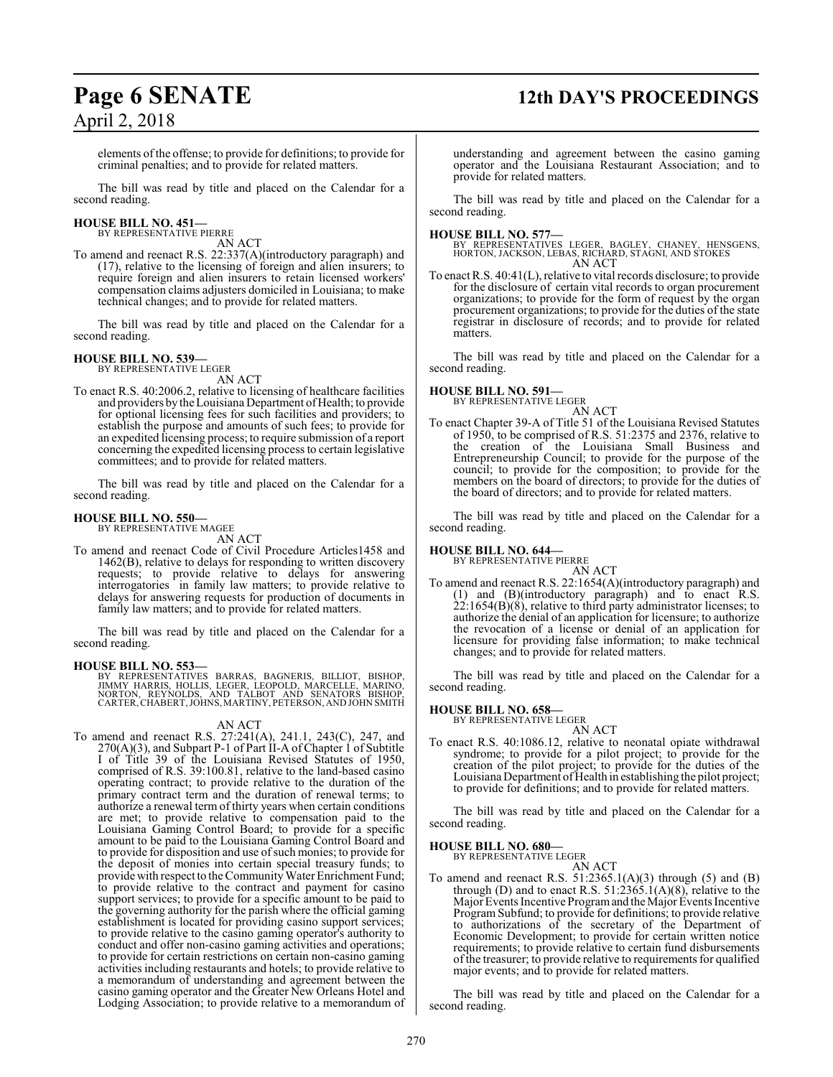## **Page 6 SENATE 12th DAY'S PROCEEDINGS**

elements ofthe offense; to provide for definitions; to provide for criminal penalties; and to provide for related matters.

The bill was read by title and placed on the Calendar for a second reading.

### **HOUSE BILL NO. 451—** BY REPRESENTATIVE PIERRE

AN ACT

To amend and reenact R.S. 22:337(A)(introductory paragraph) and (17), relative to the licensing of foreign and alien insurers; to require foreign and alien insurers to retain licensed workers' compensation claims adjusters domiciled in Louisiana; to make technical changes; and to provide for related matters.

The bill was read by title and placed on the Calendar for a second reading.

### **HOUSE BILL NO. 539—**

BY REPRESENTATIVE LEGER AN ACT

To enact R.S. 40:2006.2, relative to licensing of healthcare facilities and providers by the Louisiana Department of Health; to provide for optional licensing fees for such facilities and providers; to establish the purpose and amounts of such fees; to provide for an expedited licensing process; to require submission of a report concerning the expedited licensing process to certain legislative committees; and to provide for related matters.

The bill was read by title and placed on the Calendar for a second reading.

### **HOUSE BILL NO. 550—**

BY REPRESENTATIVE MAGEE

AN ACT

To amend and reenact Code of Civil Procedure Articles1458 and 1462(B), relative to delays for responding to written discovery requests; to provide relative to delays for answering interrogatories in family law matters; to provide relative to delays for answering requests for production of documents in family law matters; and to provide for related matters.

The bill was read by title and placed on the Calendar for a second reading.

### **HOUSE BILL NO. 553—**

BY REPRESENTATIVES BARRAS, BAGNERIS, BILLIOT, BISHOP,<br>JIMMY HARRIS, HOLLIS, LEGER, LEOPOLD, MARCELLE, MARINO,<br>NORTON, REYNOLDS, AND TALBOT AND SENATORS BISHOP,<br>CARTER,CHABERT,JOHNS,MARTINY,PETERSON,ANDJOHNSMITH

### AN ACT

To amend and reenact R.S. 27:241(A), 241.1, 243(C), 247, and 270(A)(3), and Subpart P-1 of Part II-A of Chapter 1 of Subtitle I of Title 39 of the Louisiana Revised Statutes of 1950, comprised of R.S. 39:100.81, relative to the land-based casino operating contract; to provide relative to the duration of the primary contract term and the duration of renewal terms; to authorize a renewal term of thirty years when certain conditions are met; to provide relative to compensation paid to the Louisiana Gaming Control Board; to provide for a specific amount to be paid to the Louisiana Gaming Control Board and to provide for disposition and use of such monies; to provide for the deposit of monies into certain special treasury funds; to provide with respect to the Community Water Enrichment Fund; to provide relative to the contract and payment for casino support services; to provide for a specific amount to be paid to the governing authority for the parish where the official gaming establishment is located for providing casino support services; to provide relative to the casino gaming operator's authority to conduct and offer non-casino gaming activities and operations; to provide for certain restrictions on certain non-casino gaming activities including restaurants and hotels; to provide relative to a memorandum of understanding and agreement between the casino gaming operator and the Greater New Orleans Hotel and Lodging Association; to provide relative to a memorandum of

understanding and agreement between the casino gaming operator and the Louisiana Restaurant Association; and to provide for related matters.

The bill was read by title and placed on the Calendar for a second reading.

**HOUSE BILL NO. 577—** BY REPRESENTATIVES LEGER, BAGLEY, CHANEY, HENSGENS, HORTON, JACKSON, LEBAS, RICHARD, STAGNI, AND STOKES AN ACT

To enact R.S. 40:41(L), relative to vital records disclosure; to provide for the disclosure of certain vital records to organ procurement organizations; to provide for the form of request by the organ procurement organizations; to provide for the duties of the state registrar in disclosure of records; and to provide for related matters.

The bill was read by title and placed on the Calendar for a second reading.

### **HOUSE BILL NO. 591—**



To enact Chapter 39-A of Title 51 of the Louisiana Revised Statutes of 1950, to be comprised of R.S. 51:2375 and 2376, relative to the creation of the Louisiana Small Business and Entrepreneurship Council; to provide for the purpose of the council; to provide for the composition; to provide for the members on the board of directors; to provide for the duties of the board of directors; and to provide for related matters.

The bill was read by title and placed on the Calendar for a second reading.

### **HOUSE BILL NO. 644—** BY REPRESENTATIVE PIERRE

AN ACT To amend and reenact R.S. 22:1654(A)(introductory paragraph) and (1) and (B)(introductory paragraph) and to enact R.S.  $22:1654(B)(8)$ , relative to third party administrator licenses; to authorize the denial of an application for licensure; to authorize the revocation of a license or denial of an application for licensure for providing false information; to make technical changes; and to provide for related matters.

The bill was read by title and placed on the Calendar for a second reading.

## **HOUSE BILL NO. 658—** BY REPRESENTATIVE LEGER

AN ACT

To enact R.S. 40:1086.12, relative to neonatal opiate withdrawal syndrome; to provide for a pilot project; to provide for the creation of the pilot project; to provide for the duties of the Louisiana Department of Health in establishing the pilot project; to provide for definitions; and to provide for related matters.

The bill was read by title and placed on the Calendar for a second reading.

### **HOUSE BILL NO. 680—**

BY REPRESENTATIVE LEGER

AN ACT To amend and reenact R.S.  $51:2365.1(A)(3)$  through  $(5)$  and  $(B)$ through (D) and to enact R.S.  $51:2365.1(A)(8)$ , relative to the Major Events Incentive Programand the Major Events Incentive Program Subfund; to provide for definitions; to provide relative to authorizations of the secretary of the Department of Economic Development; to provide for certain written notice requirements; to provide relative to certain fund disbursements of the treasurer; to provide relative to requirements for qualified major events; and to provide for related matters.

The bill was read by title and placed on the Calendar for a second reading.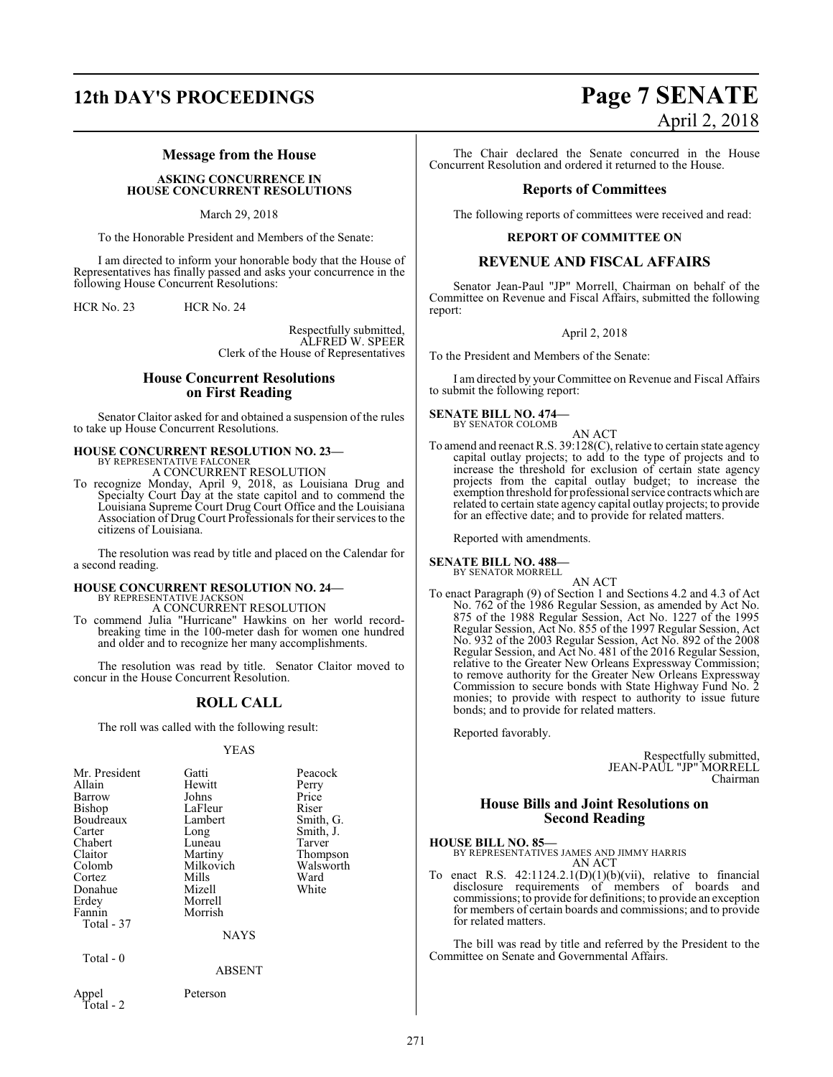### **Message from the House**

### **ASKING CONCURRENCE IN HOUSE CONCURRENT RESOLUTIONS**

#### March 29, 2018

To the Honorable President and Members of the Senate:

I am directed to inform your honorable body that the House of Representatives has finally passed and asks your concurrence in the following House Concurrent Resolutions:

HCR No. 23 HCR No. 24

Respectfully submitted, ALFRED W. SPEER Clerk of the House of Representatives

### **House Concurrent Resolutions on First Reading**

Senator Claitor asked for and obtained a suspension of the rules to take up House Concurrent Resolutions.

### **HOUSE CONCURRENT RESOLUTION NO. 23—**

BY REPRESENTATIVE FALCONER A CONCURRENT RESOLUTION

To recognize Monday, April 9, 2018, as Louisiana Drug and Specialty Court Day at the state capitol and to commend the Louisiana Supreme Court Drug Court Office and the Louisiana Association of Drug Court Professionals for their services to the citizens of Louisiana.

The resolution was read by title and placed on the Calendar for a second reading.

### **HOUSE CONCURRENT RESOLUTION NO. 24—**

BY REPRESENTATIVE JACKSON A CONCURRENT RESOLUTION

To commend Julia "Hurricane" Hawkins on her world recordbreaking time in the 100-meter dash for women one hundred and older and to recognize her many accomplishments.

The resolution was read by title. Senator Claitor moved to concur in the House Concurrent Resolution.

### **ROLL CALL**

The roll was called with the following result:

### YEAS

| Mr. President<br>Allain<br>Barrow<br>Bishop<br>Boudreaux<br>Carter<br>Chabert<br>Claitor<br>Colomb<br>Cortez<br>Donahue<br>Erdey<br>Fannin<br>Total - 37 | Gatti<br>Hewitt<br>Johns<br>LaFleur<br>Lambert<br>Long<br>Luneau<br>Martiny<br>Milkovich<br>Mills<br>Mizell<br>Morrell<br>Morrish<br><b>NAYS</b> | Peacock<br>Perry<br>Price<br>Riser<br>Smith, G.<br>Smith, J.<br>Tarver<br>Thompson<br>Walsworth<br>Ward<br>White |
|----------------------------------------------------------------------------------------------------------------------------------------------------------|--------------------------------------------------------------------------------------------------------------------------------------------------|------------------------------------------------------------------------------------------------------------------|
| Total - 0                                                                                                                                                | <b>ABSENT</b>                                                                                                                                    |                                                                                                                  |
| Appel<br>Total - 2                                                                                                                                       | Peterson                                                                                                                                         |                                                                                                                  |

## **12th DAY'S PROCEEDINGS Page 7 SENATE** April 2, 2018

The Chair declared the Senate concurred in the House Concurrent Resolution and ordered it returned to the House.

### **Reports of Committees**

The following reports of committees were received and read:

### **REPORT OF COMMITTEE ON**

### **REVENUE AND FISCAL AFFAIRS**

Senator Jean-Paul "JP" Morrell, Chairman on behalf of the Committee on Revenue and Fiscal Affairs, submitted the following report:

### April 2, 2018

To the President and Members of the Senate:

I am directed by your Committee on Revenue and Fiscal Affairs to submit the following report:

### **SENATE BILL NO. 474—** BY SENATOR COLOMB

AN ACT To amend and reenact R.S. 39:128(C), relative to certain state agency capital outlay projects; to add to the type of projects and to increase the threshold for exclusion of certain state agency projects from the capital outlay budget; to increase the exemption threshold for professional service contracts which are related to certain state agency capital outlay projects; to provide for an effective date; and to provide for related matters.

Reported with amendments.

**SENATE BILL NO. 488—** BY SENATOR MORRELL

AN ACT

To enact Paragraph (9) of Section 1 and Sections 4.2 and 4.3 of Act No. 762 of the 1986 Regular Session, as amended by Act No. 875 of the 1988 Regular Session, Act No. 1227 of the 1995 Regular Session, Act No. 855 of the 1997 Regular Session, Act No. 932 of the 2003 Regular Session, Act No. 892 of the 2008 Regular Session, and Act No. 481 of the 2016 Regular Session, relative to the Greater New Orleans Expressway Commission; to remove authority for the Greater New Orleans Expressway Commission to secure bonds with State Highway Fund No. 2 monies; to provide with respect to authority to issue future bonds; and to provide for related matters.

Reported favorably.

Respectfully submitted, JEAN-PAUL "JP" MORRELL Chairman

### **House Bills and Joint Resolutions on Second Reading**

#### **HOUSE BILL NO. 85—**

BY REPRESENTATIVES JAMES AND JIMMY HARRIS AN ACT

To enact R.S.  $42:1124.2.1(D)(1)(b)(vii)$ , relative to financial disclosure requirements of members of boards and commissions; to provide for definitions; to provide an exception for members of certain boards and commissions; and to provide for related matters.

The bill was read by title and referred by the President to the Committee on Senate and Governmental Affairs.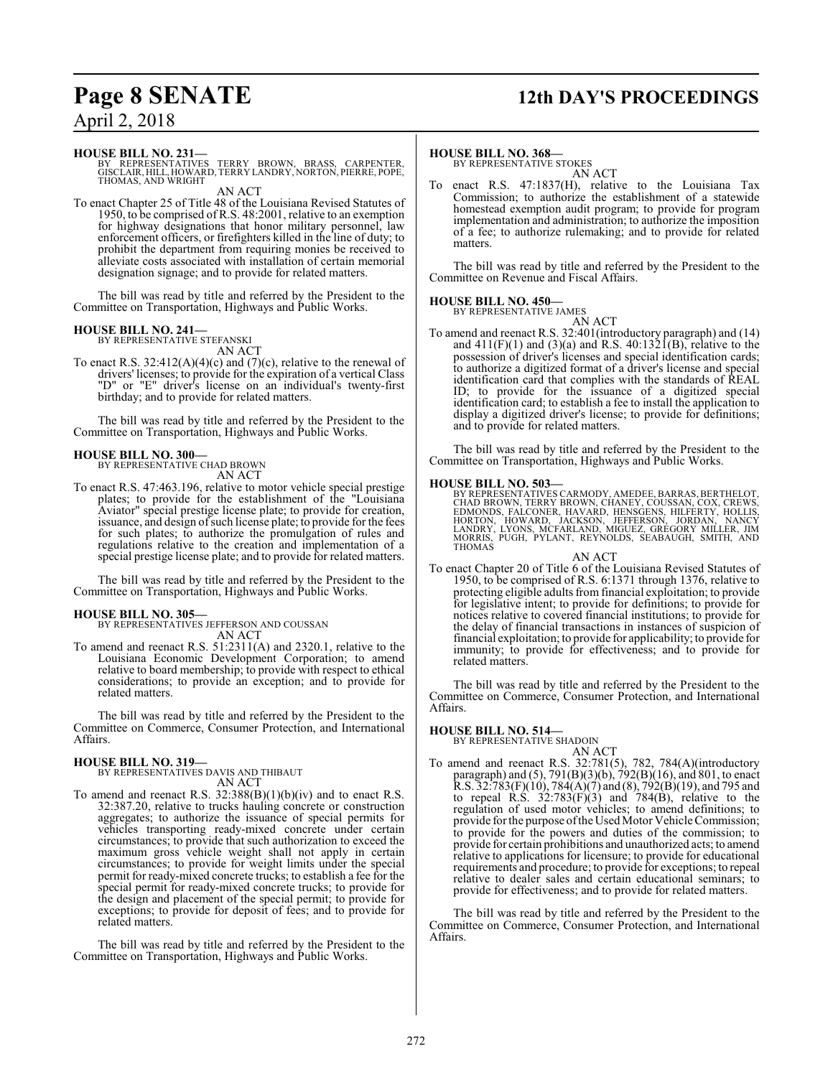### **Page 8 SENATE 12th DAY'S PROCEEDINGS**

### April 2, 2018

### **HOUSE BILL NO. 231—**

BY REPRESENTATIVES TERRY BROWN, BRASS, CARPENTER, GISCLAIR, HILL, HOWARD, TERRY LANDRY, NORTON, PIERRE, POPE, THOMAS, AND WRIGHT

AN ACT

To enact Chapter 25 of Title 48 of the Louisiana Revised Statutes of 1950, to be comprised of R.S. 48:2001, relative to an exemption for highway designations that honor military personnel, law enforcement officers, or firefighters killed in the line of duty; to prohibit the department from requiring monies be received to alleviate costs associated with installation of certain memorial designation signage; and to provide for related matters.

The bill was read by title and referred by the President to the Committee on Transportation, Highways and Public Works.

### **HOUSE BILL NO. 241—**

BY REPRESENTATIVE STEFANSKI AN ACT

To enact R.S.  $32:412(A)(4)(c)$  and  $(7)(c)$ , relative to the renewal of drivers' licenses; to provide for the expiration of a vertical Class "D" or "E" driver's license on an individual's twenty-first birthday; and to provide for related matters.

The bill was read by title and referred by the President to the Committee on Transportation, Highways and Public Works.

**HOUSE BILL NO. 300—** BY REPRESENTATIVE CHAD BROWN AN ACT

To enact R.S. 47:463.196, relative to motor vehicle special prestige plates; to provide for the establishment of the "Louisiana Aviator" special prestige license plate; to provide for creation, issuance, and design of such license plate; to provide for the fees for such plates; to authorize the promulgation of rules and regulations relative to the creation and implementation of a special prestige license plate; and to provide for related matters.

The bill was read by title and referred by the President to the Committee on Transportation, Highways and Public Works.

### **HOUSE BILL NO. 305—**

BY REPRESENTATIVES JEFFERSON AND COUSSAN AN ACT

To amend and reenact R.S. 51:2311(A) and 2320.1, relative to the Louisiana Economic Development Corporation; to amend relative to board membership; to provide with respect to ethical considerations; to provide an exception; and to provide for related matters.

The bill was read by title and referred by the President to the Committee on Commerce, Consumer Protection, and International Affairs.

### **HOUSE BILL NO. 319—** BY REPRESENTATIVES DAVIS AND THIBAUT

AN ACT

To amend and reenact R.S.  $32:388(B)(1)(b)(iv)$  and to enact R.S. 32:387.20, relative to trucks hauling concrete or construction aggregates; to authorize the issuance of special permits for vehicles transporting ready-mixed concrete under certain circumstances; to provide that such authorization to exceed the maximum gross vehicle weight shall not apply in certain circumstances; to provide for weight limits under the special permit for ready-mixed concrete trucks; to establish a fee for the special permit for ready-mixed concrete trucks; to provide for the design and placement of the special permit; to provide for exceptions; to provide for deposit of fees; and to provide for related matters.

The bill was read by title and referred by the President to the Committee on Transportation, Highways and Public Works.

### **HOUSE BILL NO. 368—**

BY REPRESENTATIVE STOKES AN ACT

enact R.S.  $47:1837(H)$ , relative to the Louisiana Tax Commission; to authorize the establishment of a statewide homestead exemption audit program; to provide for program implementation and administration; to authorize the imposition of a fee; to authorize rulemaking; and to provide for related matters.

The bill was read by title and referred by the President to the Committee on Revenue and Fiscal Affairs.

#### **HOUSE BILL NO. 450—** BY REPRESENTATIVE JAMES



To amend and reenact R.S. 32:401(introductory paragraph) and (14) and  $411(F)(1)$  and  $(3)(a)$  and R.S.  $40:132I(B)$ , relative to the possession of driver's licenses and special identification cards; to authorize a digitized format of a driver's license and special identification card that complies with the standards of REAL ID; to provide for the issuance of a digitized special identification card; to establish a fee to install the application to display a digitized driver's license; to provide for definitions; and to provide for related matters.

The bill was read by title and referred by the President to the Committee on Transportation, Highways and Public Works.

### **HOUSE BILL NO. 503—**

BY REPRESENTATIVES CARMODY, AMEDEE, BARRAS, BERTHELOT,<br>CHAD BROWN, TERRY BROWN, CHANEY, COUSSAN, COX, CREWS,<br>EDMONDS, FALCONER, HAVARD, HENSGENS, HILFERTY, HOLLIS,<br>HORTON, HOWARD, JACKSON, JEFFERSON, JORDAN, NANCY<br>LANDRY,

### AN ACT

To enact Chapter 20 of Title 6 of the Louisiana Revised Statutes of 1950, to be comprised of R.S. 6:1371 through 1376, relative to protecting eligible adults from financial exploitation; to provide for legislative intent; to provide for definitions; to provide for notices relative to covered financial institutions; to provide for the delay of financial transactions in instances of suspicion of financial exploitation; to provide for applicability; to provide for immunity; to provide for effectiveness; and to provide for related matters.

The bill was read by title and referred by the President to the Committee on Commerce, Consumer Protection, and International Affairs.

### **HOUSE BILL NO. 514—** BY REPRESENTATIVE SHADOIN

AN ACT

To amend and reenact R.S. 32:781(5), 782, 784(A)(introductory paragraph) and (5), 791(B)(3)(b), 792(B)(16), and 801, to enact  $R.S. 32:783(F)(10), 784(A)(7)$  and  $(8), 792(B)(19)$ , and 795 and to repeal R.S.  $32:783(F)(3)$  and  $784(B)$ , relative to the regulation of used motor vehicles; to amend definitions; to provide for the purpose of the Used Motor Vehicle Commission; to provide for the powers and duties of the commission; to provide for certain prohibitions and unauthorized acts; to amend relative to applications for licensure; to provide for educational requirements and procedure; to provide for exceptions; to repeal relative to dealer sales and certain educational seminars; to provide for effectiveness; and to provide for related matters.

The bill was read by title and referred by the President to the Committee on Commerce, Consumer Protection, and International Affairs.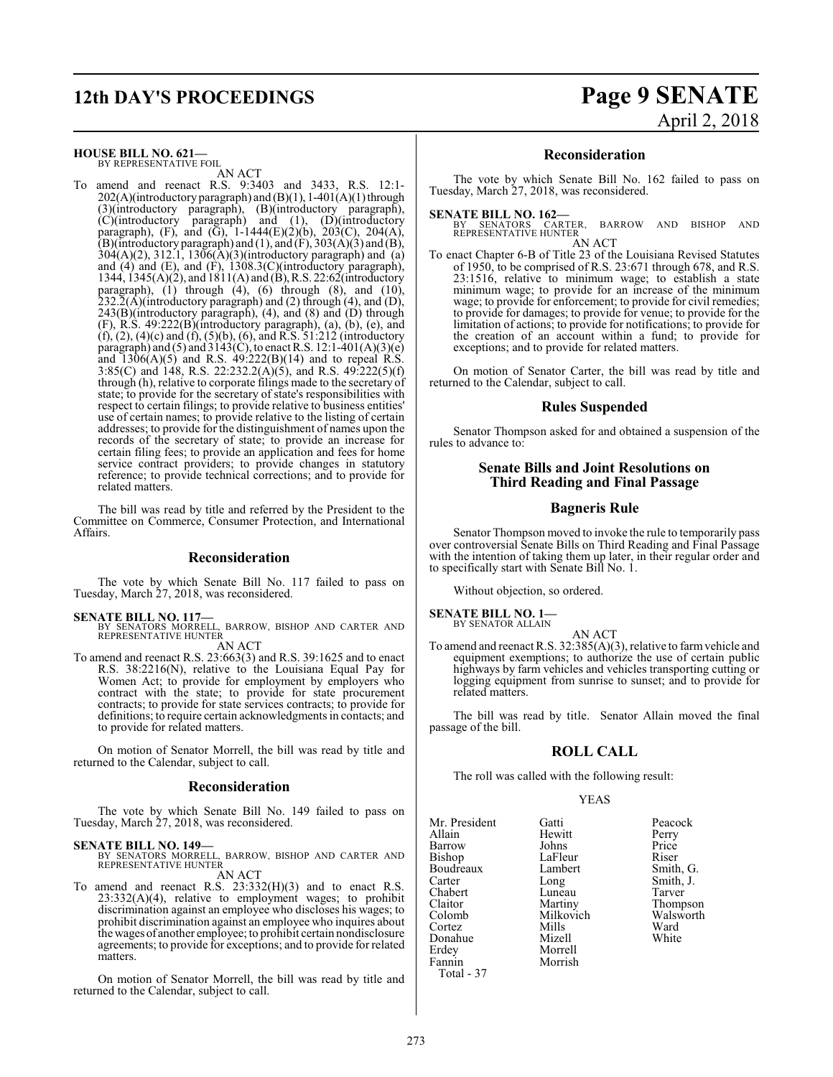## **12th DAY'S PROCEEDINGS Page 9 SENATE**

### **HOUSE BILL NO. 621—**

BY REPRESENTATIVE FOIL AN ACT

To amend and reenact R.S. 9:3403 and 3433, R.S. 12:1-  $202(A)$ (introductory paragraph) and (B)(1), 1-401(A)(1) through (3)(introductory paragraph), (B)(introductory paragraph), (C)(introductory paragraph) and (1), (D)(introductory paragraph), (F), and (G),  $1-1444(E)(2)(b)$ ,  $203(C)$ ,  $204(A)$ , (B)(introductory paragraph) and (1), and (F), 303(A)(3) and (B), 304(A)(2), 312.1, 1306(A)(3)(introductory paragraph) and (a) and (4) and (E), and (F), 1308.3(C)(introductory paragraph), 1344, 1345(A)(2), and 1811(A) and (B),R.S. 22:62(introductory paragraph), (1) through (4), (6) through (8), and (10),  $232.\overline{2}(\overline{A})$ (introductory paragraph) and (2) through (4), and (D),  $243(B)$ (introductory paragraph), (4), and (8) and (D) through (F), R.S. 49:222(B)(introductory paragraph), (a), (b), (e), and (f), (2), (4)(c) and (f), (5)(b), (6), and R.S. 51:212 (introductory paragraph) and (5) and 3143(C), to enact R.S. 12:1-401(A)(3)(e) and  $1306(A)(5)$  and R.S.  $49:222(B)(14)$  and to repeal R.S. 3:85(C) and 148, R.S. 22:232.2(A)(5), and R.S. 49:222(5)(f) through (h), relative to corporate filings made to the secretary of state; to provide for the secretary of state's responsibilities with respect to certain filings; to provide relative to business entities' use of certain names; to provide relative to the listing of certain addresses; to provide for the distinguishment of names upon the records of the secretary of state; to provide an increase for certain filing fees; to provide an application and fees for home service contract providers; to provide changes in statutory reference; to provide technical corrections; and to provide for related matters.

The bill was read by title and referred by the President to the Committee on Commerce, Consumer Protection, and International Affairs.

### **Reconsideration**

The vote by which Senate Bill No. 117 failed to pass on Tuesday, March 27, 2018, was reconsidered.

#### **SENATE BILL NO. 117—**

BY SENATORS MORRELL, BARROW, BISHOP AND CARTER AND REPRESENTATIVE HUNTER AN ACT

To amend and reenact R.S. 23:663(3) and R.S. 39:1625 and to enact R.S. 38:2216(N), relative to the Louisiana Equal Pay for Women Act; to provide for employment by employers who contract with the state; to provide for state procurement contracts; to provide for state services contracts; to provide for definitions; to require certain acknowledgments in contacts; and to provide for related matters.

On motion of Senator Morrell, the bill was read by title and returned to the Calendar, subject to call.

### **Reconsideration**

The vote by which Senate Bill No. 149 failed to pass on Tuesday, March 27, 2018, was reconsidered.

### **SENATE BILL NO. 149—**

BY SENATORS MORRELL, BARROW, BISHOP AND CARTER AND REPRESENTATIVE HUNTER

AN ACT To amend and reenact R.S. 23:332(H)(3) and to enact R.S. 23:332(A)(4), relative to employment wages; to prohibit discrimination against an employee who discloses his wages; to prohibit discrimination against an employee who inquires about the wages of another employee; to prohibit certain nondisclosure agreements; to provide for exceptions; and to provide for related matters.

On motion of Senator Morrell, the bill was read by title and returned to the Calendar, subject to call.

# April 2, 2018

### **Reconsideration**

The vote by which Senate Bill No. 162 failed to pass on Tuesday, March 27, 2018, was reconsidered.

**SENATE BILL NO. 162—**<br>BY SENATORS CARTER, BARROW AND BISHOP AND<br>REPRESENTATIVE HUNTER AN ACT

To enact Chapter 6-B of Title 23 of the Louisiana Revised Statutes of 1950, to be comprised of R.S. 23:671 through 678, and R.S. 23:1516, relative to minimum wage; to establish a state minimum wage; to provide for an increase of the minimum wage; to provide for enforcement; to provide for civil remedies; to provide for damages; to provide for venue; to provide for the limitation of actions; to provide for notifications; to provide for the creation of an account within a fund; to provide for exceptions; and to provide for related matters.

On motion of Senator Carter, the bill was read by title and returned to the Calendar, subject to call.

### **Rules Suspended**

Senator Thompson asked for and obtained a suspension of the rules to advance to:

### **Senate Bills and Joint Resolutions on Third Reading and Final Passage**

### **Bagneris Rule**

Senator Thompson moved to invoke the rule to temporarily pass over controversial Senate Bills on Third Reading and Final Passage with the intention of taking them up later, in their regular order and to specifically start with Senate Bill No. 1.

Without objection, so ordered.

**SENATE BILL NO. 1—** BY SENATOR ALLAIN

- AN ACT
- To amend and reenact R.S. 32:385(A)(3), relative to farmvehicle and equipment exemptions; to authorize the use of certain public highways by farm vehicles and vehicles transporting cutting or logging equipment from sunrise to sunset; and to provide for related matters.

The bill was read by title. Senator Allain moved the final passage of the bill.

### **ROLL CALL**

The roll was called with the following result:

Morrell<br>Morrish

### YEAS

Mr. President Gatti Peacock<br>Allain Hewitt Perry Allain Hewitt Perry Barrow Johns Price<br>Bishop LaFleur Riser Boudreaux Lamb<br>Carter Long Carter Long Smith, J. Chabert Luneau<br>Claitor Martiny Claitor Martiny Thompson Colomb Milkovich Walsworth Cortez Mills Ward Donahue Mizell White<br>Erdey Morrell White Fannin Total - 37

LaFleur Riser<br>Lambert Smith, G.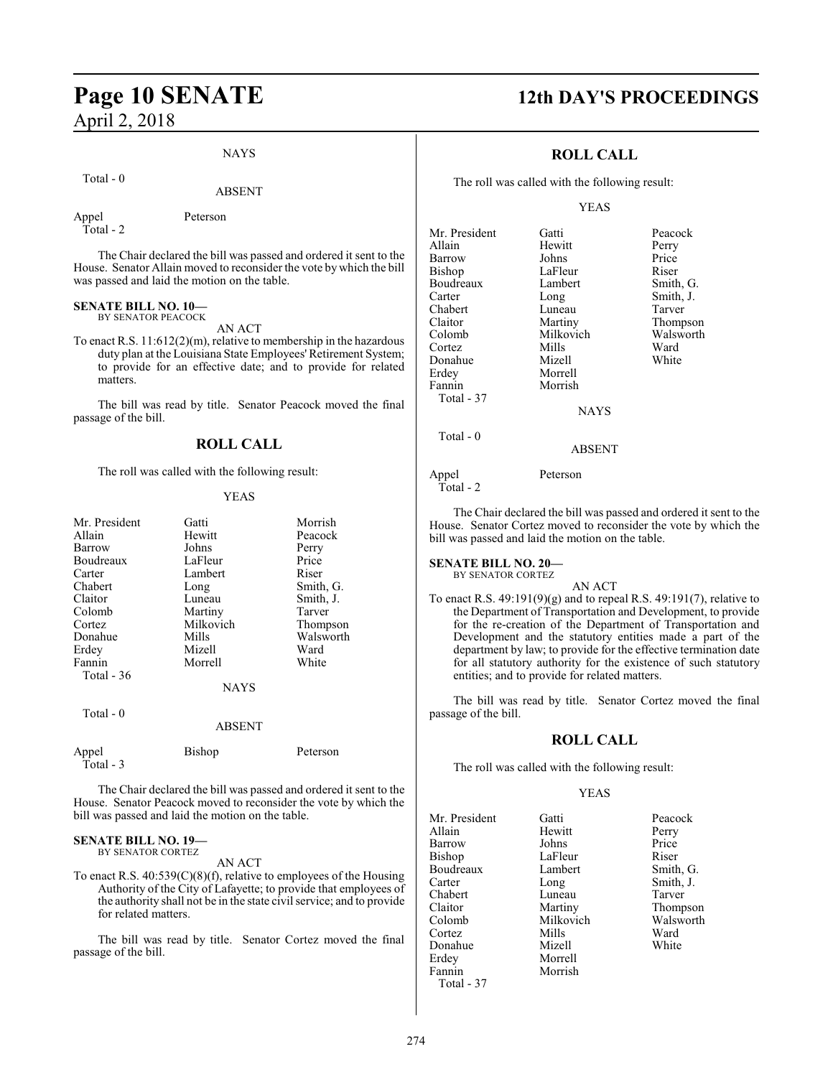### NAYS

Total - 0

#### ABSENT

Appel Peterson Total - 2

The Chair declared the bill was passed and ordered it sent to the House. Senator Allain moved to reconsider the vote by which the bill was passed and laid the motion on the table.

### **SENATE BILL NO. 10—**

BY SENATOR PEACOCK

AN ACT To enact R.S. 11:612(2)(m), relative to membership in the hazardous duty plan at the Louisiana State Employees' Retirement System; to provide for an effective date; and to provide for related matters.

The bill was read by title. Senator Peacock moved the final passage of the bill.

### **ROLL CALL**

The roll was called with the following result:

### YEAS

| Mr. President       | Gatti         | Morrish   |
|---------------------|---------------|-----------|
| Allain              | Hewitt        | Peacock   |
| Barrow              | Johns         | Perry     |
| Boudreaux           | LaFleur       | Price     |
| Carter              | Lambert       | Riser     |
| Chabert             | Long          | Smith, G. |
| Claitor             | Luneau        | Smith, J. |
| Colomb              | Martiny       | Tarver    |
| Cortez              | Milkovich     | Thompson  |
| Donahue             | Mills         | Walsworth |
| Erdey               | Mizell        | Ward      |
| Fannin              | Morrell       | White     |
| Total - 36          |               |           |
|                     | <b>NAYS</b>   |           |
| Total - 0           |               |           |
|                     | ABSENT        |           |
| Appel<br>Total $-3$ | <b>Bishop</b> | Peterson  |

The Chair declared the bill was passed and ordered it sent to the House. Senator Peacock moved to reconsider the vote by which the bill was passed and laid the motion on the table.

### **SENATE BILL NO. 19—**

BY SENATOR CORTEZ

AN ACT

To enact R.S. 40:539(C)(8)(f), relative to employees of the Housing Authority of the City of Lafayette; to provide that employees of the authority shall not be in the state civil service; and to provide for related matters.

The bill was read by title. Senator Cortez moved the final passage of the bill.

### **Page 10 SENATE 12th DAY'S PROCEEDINGS**

### **ROLL CALL**

The roll was called with the following result:

### YEAS

| Mr. President | Gatti       | Peacock   |
|---------------|-------------|-----------|
| Allain        | Hewitt      | Perry     |
| Barrow        | Johns       | Price     |
| Bishop        | LaFleur     | Riser     |
| Boudreaux     | Lambert     | Smith, G. |
| Carter        | Long        | Smith, J. |
| Chabert       | Luneau      | Tarver    |
| Claitor       | Martiny     | Thompson  |
| Colomb        | Milkovich   | Walsworth |
| Cortez        | Mills       | Ward      |
| Donahue       | Mizell      | White     |
| Erdey         | Morrell     |           |
| Fannin        | Morrish     |           |
| Total - 37    |             |           |
|               | <b>NAYS</b> |           |
| Total $-0$    |             |           |
|               | ABSENT      |           |

Appel Peterson Total - 2

The Chair declared the bill was passed and ordered it sent to the House. Senator Cortez moved to reconsider the vote by which the bill was passed and laid the motion on the table.

### **SENATE BILL NO. 20—**

BY SENATOR CORTEZ

AN ACT To enact R.S. 49:191(9)(g) and to repeal R.S. 49:191(7), relative to the Department of Transportation and Development, to provide for the re-creation of the Department of Transportation and Development and the statutory entities made a part of the department by law; to provide for the effective termination date for all statutory authority for the existence of such statutory entities; and to provide for related matters.

The bill was read by title. Senator Cortez moved the final passage of the bill.

### **ROLL CALL**

The roll was called with the following result:

Morrell

### YEAS

Mr. President Gatti Peacock Allain Hewitt Perry<br>
Barrow Johns Price Barrow Johns<br>Bishop LaFler Boudreaux Lamb<br>Carter Long Chabert Luneau<br>Claitor Martiny Claitor Martiny Thompson Cortez Mills Ward Donahue<br>Erdey Fannin Morrish Total - 37

LaFleur Riser<br>Lambert Smith, G. Long Smith, J.<br>Luneau Tarver Milkovich Walsworth<br>
Mills Ward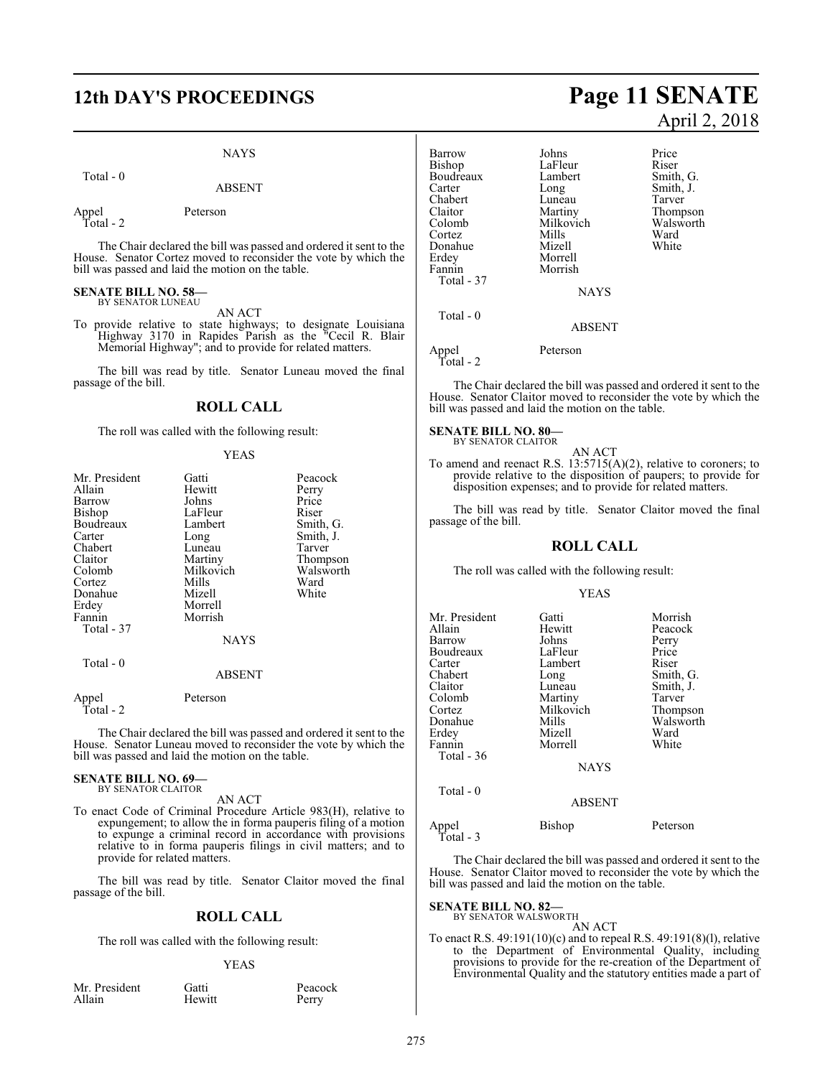### NAYS

Total - 0

### ABSENT

Appel Peterson

Total - 2

The Chair declared the bill was passed and ordered it sent to the House. Senator Cortez moved to reconsider the vote by which the bill was passed and laid the motion on the table.

### **SENATE BILL NO. 58—** BY SENATOR LUNEAU

AN ACT

To provide relative to state highways; to designate Louisiana Highway 3170 in Rapides Parish as the "Cecil R. Blair Memorial Highway"; and to provide for related matters.

The bill was read by title. Senator Luneau moved the final passage of the bill.

### **ROLL CALL**

The roll was called with the following result:

#### YEAS

| Mr. President      | Gatti         | Peacock   |
|--------------------|---------------|-----------|
| Allain             | Hewitt        | Perry     |
| Barrow             | Johns         | Price     |
| Bishop             | LaFleur       | Riser     |
| Boudreaux          | Lambert       | Smith, G. |
| Carter             | Long          | Smith, J. |
| Chabert            | Luneau        | Tarver    |
| Claitor            | Martiny       | Thompson  |
| Colomb             | Milkovich     | Walsworth |
| Cortez             | Mills         | Ward      |
| Donahue            | Mizell        | White     |
| Erdey              | Morrell       |           |
| Fannin             | Morrish       |           |
| Total - 37         |               |           |
|                    | <b>NAYS</b>   |           |
| Total - 0          |               |           |
|                    | <b>ABSENT</b> |           |
| Appel<br>Total - 2 | Peterson      |           |

The Chair declared the bill was passed and ordered it sent to the House. Senator Luneau moved to reconsider the vote by which the bill was passed and laid the motion on the table.

#### **SENATE BILL NO. 69—** BY SENATOR CLAITOR

AN ACT

To enact Code of Criminal Procedure Article 983(H), relative to expungement; to allow the in forma pauperis filing of a motion to expunge a criminal record in accordance with provisions relative to in forma pauperis filings in civil matters; and to provide for related matters.

The bill was read by title. Senator Claitor moved the final passage of the bill.

### **ROLL CALL**

The roll was called with the following result:

**Hewitt** 

### YEAS

| Mr. President |
|---------------|
| Allain        |

ident Gatti Peacock<br>Hewitt Perry

## **12th DAY'S PROCEEDINGS Page 11 SENATE** April 2, 2018

Barrow Johns Price<br>Bishop LaFleur Riser LaFleur Riser<br>Lambert Smith, G. Boudreaux Lamb<br>Carter Long Long Smith, J.<br>
Luneau Tarver Chabert Luneau<br>Claitor Martiny Claitor Martiny Thompson Milkovich Walsworth<br>
Mills Ward Cortez Mills Ward Donahue Mizell White<br>Erdey Morrell White Erdey Morrell Morrish Total - 37 **NAYS**  Total - 0 ABSENT Appel Peterson Total - 2

The Chair declared the bill was passed and ordered it sent to the House. Senator Claitor moved to reconsider the vote by which the bill was passed and laid the motion on the table.

### **SENATE BILL NO. 80—** BY SENATOR CLAITOR

AN ACT

To amend and reenact R.S. 13:5715(A)(2), relative to coroners; to provide relative to the disposition of paupers; to provide for disposition expenses; and to provide for related matters.

The bill was read by title. Senator Claitor moved the final passage of the bill.

### **ROLL CALL**

The roll was called with the following result:

#### YEAS

| Mr. President<br>Allain<br>Barrow<br>Boudreaux<br>Carter<br>Chabert<br>Claitor<br>Colomb<br>Cortez<br>Donahue<br>Erdey<br>Fannin<br>Total - 36 | Gatti<br>Hewitt<br>Johns<br>LaFleur<br>Lambert<br>Long<br>Luneau<br>Martiny<br>Milkovich<br>Mills<br>Mizell<br>Morrell | Morrish<br>Peacock<br>Perry<br>Price<br>Riser<br>Smith, G.<br>Smith, J.<br>Tarver<br>Thompson<br>Walsworth<br>Ward<br>White |
|------------------------------------------------------------------------------------------------------------------------------------------------|------------------------------------------------------------------------------------------------------------------------|-----------------------------------------------------------------------------------------------------------------------------|
| Total - 0                                                                                                                                      | <b>NAYS</b><br><b>ABSENT</b>                                                                                           |                                                                                                                             |
| Appel<br>Total - 3                                                                                                                             | Bishop                                                                                                                 | Peterson                                                                                                                    |

The Chair declared the bill was passed and ordered it sent to the House. Senator Claitor moved to reconsider the vote by which the bill was passed and laid the motion on the table.

### **SENATE BILL NO. 82—** BY SENATOR WALSWORTH

AN ACT

To enact R.S. 49:191(10)(c) and to repeal R.S. 49:191(8)(l), relative to the Department of Environmental Quality, including provisions to provide for the re-creation of the Department of Environmental Quality and the statutory entities made a part of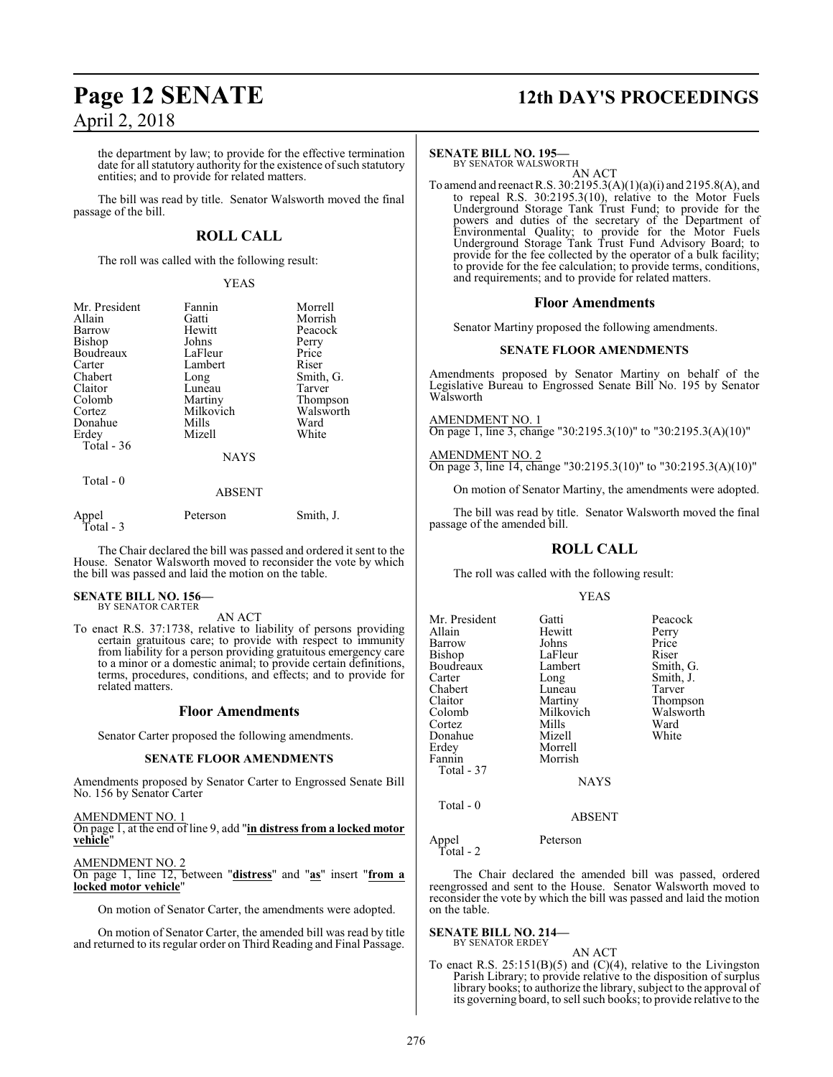the department by law; to provide for the effective termination date for all statutory authority for the existence of such statutory entities; and to provide for related matters.

The bill was read by title. Senator Walsworth moved the final passage of the bill.

### **ROLL CALL**

The roll was called with the following result:

#### YEAS

| Mr. President<br>Allain<br>Barrow<br>Bishop<br>Boudreaux<br>Carter<br>Chabert<br>Claitor<br>Colomb | Fannin<br>Gatti<br>Hewitt<br>Johns<br>LaFleur<br>Lambert<br>Long<br>Luneau<br>Martiny<br>Milkovich | Morrell<br>Morrish<br>Peacock<br>Perry<br>Price<br>Riser<br>Smith, G.<br>Tarver<br>Thompson<br>Walsworth |
|----------------------------------------------------------------------------------------------------|----------------------------------------------------------------------------------------------------|----------------------------------------------------------------------------------------------------------|
| Cortez<br>Donahue<br>Erdey<br>Total - 36                                                           | Mills<br>Mizell<br><b>NAYS</b>                                                                     | Ward<br>White                                                                                            |
| Total - 0                                                                                          | <b>ABSENT</b>                                                                                      |                                                                                                          |
| Appel                                                                                              | Peterson                                                                                           | Smith, J.                                                                                                |

Total - 3

The Chair declared the bill was passed and ordered it sent to the House. Senator Walsworth moved to reconsider the vote by which the bill was passed and laid the motion on the table.

### **SENATE BILL NO. 156—** BY SENATOR CARTER

AN ACT

To enact R.S. 37:1738, relative to liability of persons providing certain gratuitous care; to provide with respect to immunity from liability for a person providing gratuitous emergency care to a minor or a domestic animal; to provide certain definitions, terms, procedures, conditions, and effects; and to provide for related matters.

### **Floor Amendments**

Senator Carter proposed the following amendments.

#### **SENATE FLOOR AMENDMENTS**

Amendments proposed by Senator Carter to Engrossed Senate Bill No. 156 by Senator Carter

AMENDMENT NO. 1 On page 1, at the end of line 9, add "**in distress from a locked motor vehicle**"

AMENDMENT NO. 2<br>On page 1, line 12, b On page 1, line 12, between "**distress**" and "**as**" insert "**from a locked motor vehicle**"

On motion of Senator Carter, the amendments were adopted.

On motion of Senator Carter, the amended bill was read by title and returned to its regular order on Third Reading and Final Passage.

## **Page 12 SENATE 12th DAY'S PROCEEDINGS**

### **SENATE BILL NO. 195—**

BY SENATOR WALSWORTH AN ACT

To amend and reenact R.S. 30:2195.3(A)(1)(a)(i) and 2195.8(A), and to repeal R.S. 30:2195.3(10), relative to the Motor Fuels Underground Storage Tank Trust Fund; to provide for the powers and duties of the secretary of the Department of Environmental Quality; to provide for the Motor Fuels Underground Storage Tank Trust Fund Advisory Board; to provide for the fee collected by the operator of a bulk facility; to provide for the fee calculation; to provide terms, conditions, and requirements; and to provide for related matters.

### **Floor Amendments**

Senator Martiny proposed the following amendments.

### **SENATE FLOOR AMENDMENTS**

Amendments proposed by Senator Martiny on behalf of the Legislative Bureau to Engrossed Senate Bill No. 195 by Senator Walsworth

AMENDMENT NO. 1 On page 1, line 3, change "30:2195.3(10)" to "30:2195.3(A)(10)"

AMENDMENT NO. 2 On page 3, line 14, change "30:2195.3(10)" to "30:2195.3(A)(10)"

On motion of Senator Martiny, the amendments were adopted.

The bill was read by title. Senator Walsworth moved the final passage of the amended bill.

### **ROLL CALL**

The roll was called with the following result:

### YEAS

| Mr. President | Gatti         | Peacock   |
|---------------|---------------|-----------|
| Allain        | Hewitt        | Perry     |
| Barrow        | Johns         | Price     |
| Bishop        | LaFleur       | Riser     |
| Boudreaux     | Lambert       | Smith, G. |
| Carter        | Long          | Smith, J. |
| Chabert       | Luneau        | Tarver    |
| Claitor       | Martiny       | Thompson  |
| Colomb        | Milkovich     | Walsworth |
| Cortez        | Mills         | Ward      |
| Donahue       | Mizell        | White     |
| Erdey         | Morrell       |           |
| Fannin        | Morrish       |           |
| Total - 37    |               |           |
|               | <b>NAYS</b>   |           |
| Total - 0     |               |           |
|               | <b>ABSENT</b> |           |
|               |               |           |

### Appel Peterson Total - 2

The Chair declared the amended bill was passed, ordered reengrossed and sent to the House. Senator Walsworth moved to reconsider the vote by which the bill was passed and laid the motion on the table.

#### **SENATE BILL NO. 214—** BY SENATOR ERDEY

AN ACT

To enact R.S.  $25:151(B)(5)$  and  $(C)(4)$ , relative to the Livingston Parish Library; to provide relative to the disposition of surplus library books; to authorize the library, subject to the approval of its governing board, to sell such books; to provide relative to the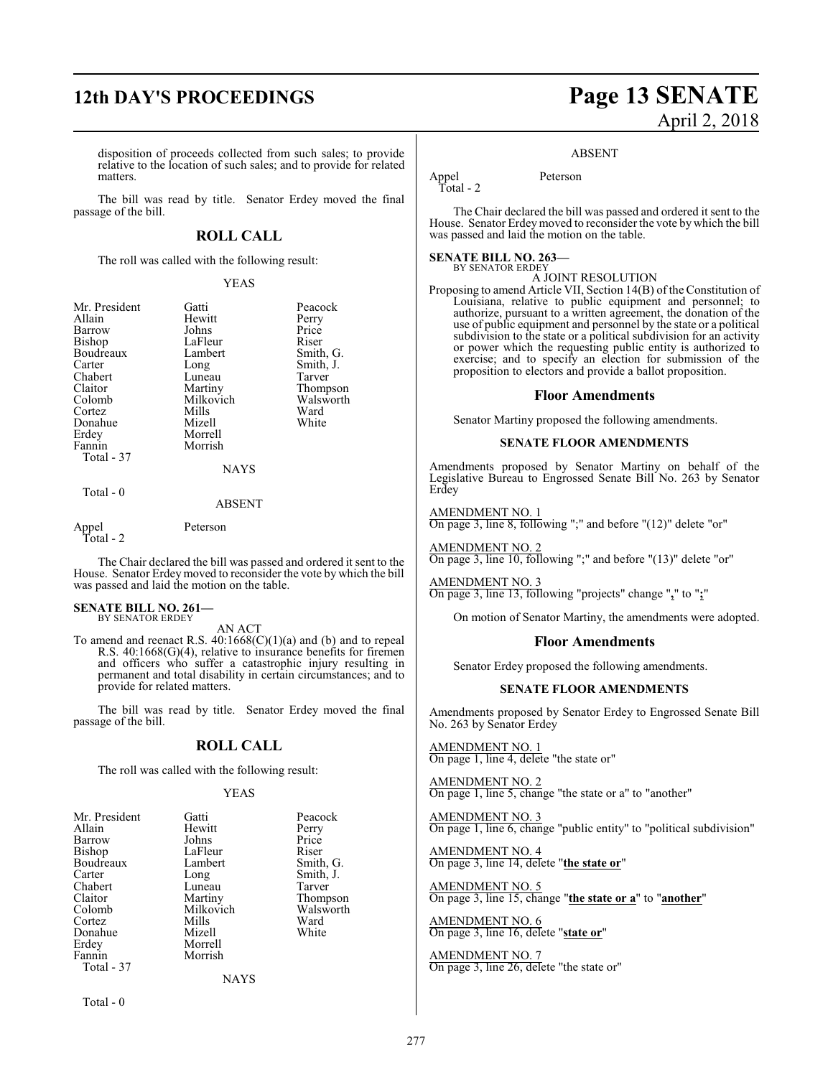### **12th DAY'S PROCEEDINGS Page 13 SENATE**

disposition of proceeds collected from such sales; to provide relative to the location of such sales; and to provide for related matters.

The bill was read by title. Senator Erdey moved the final passage of the bill.

### **ROLL CALL**

The roll was called with the following result:

### YEAS

| Mr. President | Gatti         | Peacock   |
|---------------|---------------|-----------|
| Allain        | Hewitt        | Perry     |
| Barrow        | Johns         | Price     |
| Bishop        | LaFleur       | Riser     |
| Boudreaux     | Lambert       | Smith, G. |
| Carter        | Long          | Smith, J. |
| Chabert       | Luneau        | Tarver    |
| Claitor       | Martiny       | Thompson  |
| Colomb        | Milkovich     | Walsworth |
| Cortez        | Mills         | Ward      |
| Donahue       | Mizell        | White     |
| Erdey         | Morrell       |           |
| Fannin        | Morrish       |           |
| Total - 37    |               |           |
|               | <b>NAYS</b>   |           |
| Total $-0$    |               |           |
|               | <b>ADCENT</b> |           |

ABSENT

Appel Peterson Total - 2

The Chair declared the bill was passed and ordered it sent to the House. Senator Erdey moved to reconsider the vote by which the bill was passed and laid the motion on the table.

**SENATE BILL NO. 261—** BY SENATOR ERDEY

### AN ACT

To amend and reenact R.S.  $40:1668(C)(1)(a)$  and (b) and to repeal R.S. 40:1668(G)(4), relative to insurance benefits for firemen and officers who suffer a catastrophic injury resulting in permanent and total disability in certain circumstances; and to provide for related matters.

The bill was read by title. Senator Erdey moved the final passage of the bill.

### **ROLL CALL**

The roll was called with the following result:

### YEAS

| Mr. President | Gatti     | Peacock   |
|---------------|-----------|-----------|
| Allain        | Hewitt    | Perry     |
| Barrow        | Johns     | Price     |
| Bishop        | LaFleur   | Riser     |
| Boudreaux     | Lambert   | Smith, G. |
| Carter        | Long      | Smith, J. |
| Chabert       | Luneau    | Tarver    |
| Claitor       | Martiny   | Thompson  |
| Colomb        | Milkovich | Walsworth |
| Cortez        | Mills     | Ward      |
| Donahue       | Mizell    | White     |
| Erdey         | Morrell   |           |
| Fannin        | Morrish   |           |
| Total - 37    |           |           |
|               | NAYS      |           |

Total - 0

# April 2, 2018

#### ABSENT

Appel Peterson Total - 2

The Chair declared the bill was passed and ordered it sent to the House. Senator Erdeymoved to reconsider the vote by which the bill was passed and laid the motion on the table.

#### **SENATE BILL NO. 263—** BY SENATOR ERDEY

A JOINT RESOLUTION

Proposing to amend Article VII, Section 14(B) of the Constitution of Louisiana, relative to public equipment and personnel; to authorize, pursuant to a written agreement, the donation of the use of public equipment and personnel by the state or a political subdivision to the state or a political subdivision for an activity or power which the requesting public entity is authorized to exercise; and to specify an election for submission of the proposition to electors and provide a ballot proposition.

### **Floor Amendments**

Senator Martiny proposed the following amendments.

#### **SENATE FLOOR AMENDMENTS**

Amendments proposed by Senator Martiny on behalf of the Legislative Bureau to Engrossed Senate Bill No. 263 by Senator Erdey

AMENDMENT NO. 1 On page 3, line 8, following ";" and before "(12)" delete "or"

AMENDMENT NO. 2 On page 3, line 10, following ";" and before "(13)" delete "or"

AMENDMENT NO. 3 On page 3, line 13, following "projects" change "**,**" to "**;**"

On motion of Senator Martiny, the amendments were adopted.

### **Floor Amendments**

Senator Erdey proposed the following amendments.

### **SENATE FLOOR AMENDMENTS**

Amendments proposed by Senator Erdey to Engrossed Senate Bill No. 263 by Senator Erdey

AMENDMENT NO. 1 On page 1, line 4, delete "the state or"

AMENDMENT NO. 2 On page 1, line 5, change "the state or a" to "another"

AMENDMENT NO. 3 On page 1, line 6, change "public entity" to "political subdivision"

AMENDMENT NO. 4 On page 3, line 14, delete "**the state or**"

AMENDMENT NO. 5 On page 3, line 15, change "**the state or a**" to "**another**"

AMENDMENT NO. 6 On page 3, line 16, delete "**state or**"

AMENDMENT NO. 7 On page 3, line 26, delete "the state or"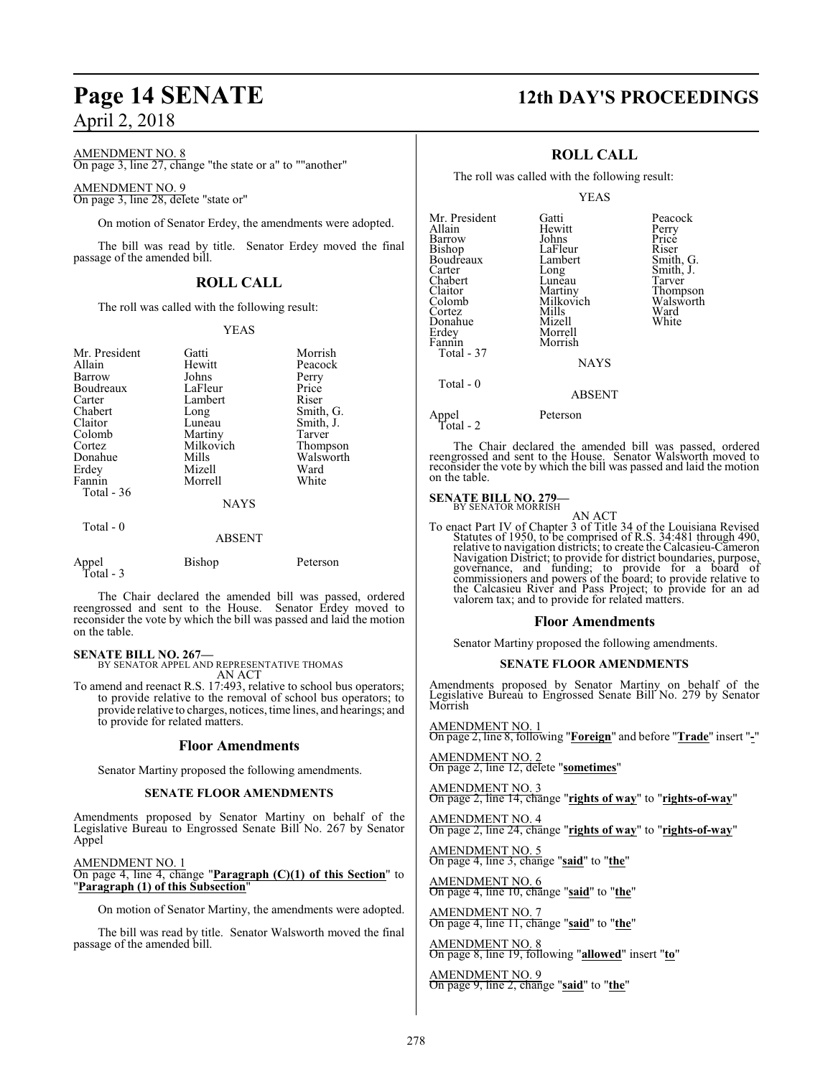AMENDMENT NO. 8

On page 3, line 27, change "the state or a" to ""another"

### AMENDMENT NO. 9

On page 3, line 28, delete "state or"

On motion of Senator Erdey, the amendments were adopted.

The bill was read by title. Senator Erdey moved the final passage of the amended bill.

### **ROLL CALL**

The roll was called with the following result:

### YEAS

| Mr. President<br>Allain<br>Barrow<br>Boudreaux<br>Carter<br>Chabert<br>Claitor<br>Colomb<br>Cortez<br>Donahue<br>Erdey | Gatti<br>Hewitt<br>Johns<br>LaFleur<br>Lambert<br>Long<br>Luneau<br>Martiny<br>Milkovich<br>Mills<br>Mizell | Morrish<br>Peacock<br>Perry<br>Price<br>Riser<br>Smith, G.<br>Smith, J.<br>Tarver<br>Thompson<br>Walsworth<br>Ward |
|------------------------------------------------------------------------------------------------------------------------|-------------------------------------------------------------------------------------------------------------|--------------------------------------------------------------------------------------------------------------------|
| Fannin<br>Total - 36                                                                                                   | Morrell<br><b>NAYS</b>                                                                                      | White                                                                                                              |
| Total $-0$                                                                                                             | <b>ABSENT</b>                                                                                               |                                                                                                                    |
| Appel<br>Total - 3                                                                                                     | Bishop                                                                                                      | Peterson                                                                                                           |

The Chair declared the amended bill was passed, ordered reengrossed and sent to the House. Senator Erdey moved to reconsider the vote by which the bill was passed and laid the motion on the table.

**SENATE BILL NO. 267—** BY SENATOR APPEL AND REPRESENTATIVE THOMAS

AN ACT

To amend and reenact R.S. 17:493, relative to school bus operators; to provide relative to the removal of school bus operators; to provide relative to charges, notices, time lines, and hearings; and to provide for related matters.

### **Floor Amendments**

Senator Martiny proposed the following amendments.

### **SENATE FLOOR AMENDMENTS**

Amendments proposed by Senator Martiny on behalf of the Legislative Bureau to Engrossed Senate Bill No. 267 by Senator Appel

### AMENDMENT NO. 1

#### On page 4, line 4, change "**Paragraph (C)(1) of this Section**" to "**Paragraph (1) of this Subsection**"

On motion of Senator Martiny, the amendments were adopted.

The bill was read by title. Senator Walsworth moved the final passage of the amended bill.

### **Page 14 SENATE 12th DAY'S PROCEEDINGS**

### **ROLL CALL**

The roll was called with the following result:

YEAS

| Mr. President<br>Allain<br>Barrow<br>Bishop<br>Bishop<br>Boudreaux<br>Carter<br>Chabert<br>Claitor<br>Colomb<br>Cortez<br>Donahue<br>Erdey<br>Fannin<br>Total - 37 | Gatti<br>Hewitt<br>Johns<br>LaFleur<br>Lambert<br>Long<br>Lunēau<br>Martiny<br>Milkovich<br>Mills<br>Mizell<br>Morrell<br>Morrish<br><b>NAYS</b> | Peacock<br>Perry<br>Price<br>Riser<br>Smith, G.<br>Smith, J.<br>Tarver<br>Thompson<br>Walsworth<br>Ward<br>White |
|--------------------------------------------------------------------------------------------------------------------------------------------------------------------|--------------------------------------------------------------------------------------------------------------------------------------------------|------------------------------------------------------------------------------------------------------------------|
| Total $-0$                                                                                                                                                         | <b>ABSENT</b>                                                                                                                                    |                                                                                                                  |
| Appel<br>Total - 2                                                                                                                                                 | Peterson                                                                                                                                         |                                                                                                                  |

The Chair declared the amended bill was passed, ordered reengrossed and sent to the House. Senator Walsworth moved to reconsider the vote by which the bill was passed and laid the motion on the table.

### **SENATE BILL NO. 279-**<br>BY SENATOR MORRISH

AN ACT

To enact Part IV of Chapter 3 of Title 34 of the Louisiana Revised Statutes of 1950, to be comprised of R.S. 34:481 through 490, relative to navigation districts; to create the Calcasieu-Cameron Navigation District; to provide for district boundaries, purpose, governance, and funding; to provide for a board of commissioners and powers of the board; to provide relative to the Calcasieu River and Pass Project; to pr valorem tax; and to provide for related matters.

### **Floor Amendments**

Senator Martiny proposed the following amendments.

### **SENATE FLOOR AMENDMENTS**

Amendments proposed by Senator Martiny on behalf of the Legislative Bureau to Engrossed Senate Bill No. 279 by Senator Morrish

AMENDMENT NO. 1 On page 2, line 8, following "**Foreign**" and before "**Trade**" insert "**-**"

AMENDMENT NO. 2 On page 2, line 12, delete "**sometimes**"

AMENDMENT NO. 3 On page 2, line 14, change "**rights of way**" to "**rights-of-way**"

AMENDMENT NO. 4 On page 2, line 24, change "**rights of way**" to "**rights-of-way**"

AMENDMENT NO. 5 On page 4, line 3, change "**said**" to "**the**"

AMENDMENT NO. 6 On page 4, line 10, change "**said**" to "**the**"

AMENDMENT NO. 7 On page 4, line 11, change "**said**" to "**the**"

AMENDMENT NO. 8 On page 8, line 19, following "**allowed**" insert "**to**"

AMENDMENT NO. 9 On page 9, line 2, change "**said**" to "**the**"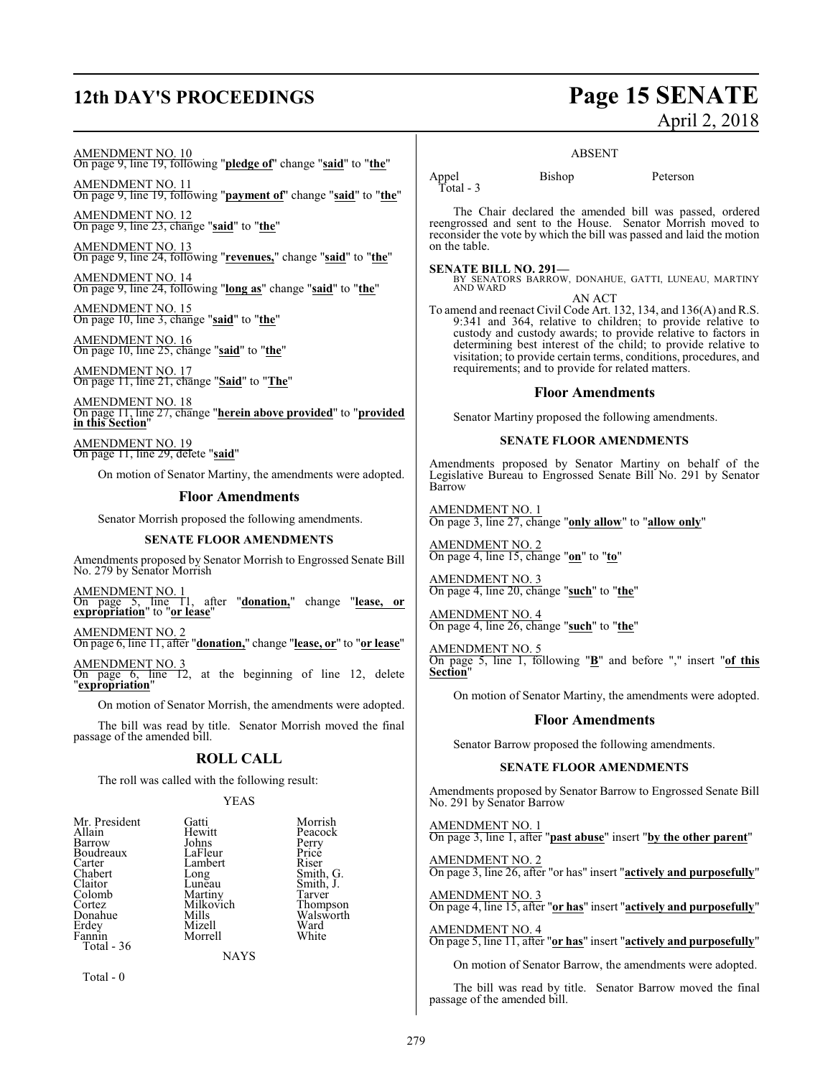### **12th DAY'S PROCEEDINGS Page 15 SENATE**

# April 2, 2018

AMENDMENT NO. 10

On page 9, line 19, following "**pledge of**" change "**said**" to "**the**"

AMENDMENT NO. 11 On page 9, line 19, following "**payment of**" change "**said**" to "**the**"

AMENDMENT NO. 12 On page 9, line 23, change "**said**" to "**the**"

AMENDMENT NO. 13 On page 9, line 24, following "**revenues,**" change "**said**" to "**the**"

AMENDMENT NO. 14 On page 9, line 24, following "**long as**" change "**said**" to "**the**"

AMENDMENT NO. 15 On page 10, line 3, change "**said**" to "**the**"

AMENDMENT NO. 16 On page 10, line 25, change "**said**" to "**the**"

AMENDMENT NO. 17 On page 11, line 21, change "**Said**" to "**The**"

AMENDMENT NO. 18 On page 11, line 27, change "**herein above provided**" to "**provided in this Section**"

AMENDMENT NO. 19 On page 11, line 29, delete "**said**"

On motion of Senator Martiny, the amendments were adopted.

### **Floor Amendments**

Senator Morrish proposed the following amendments.

### **SENATE FLOOR AMENDMENTS**

Amendments proposed by Senator Morrish to Engrossed Senate Bill No. 279 by Senator Morrish

AMENDMENT NO. 1 after "**donation,**" change "lease, or **expropriation**" to "**or lease**"

AMENDMENT NO. 2 On page 6, line 11, after "**donation,**" change "**lease, or**" to "**or lease**"

AMENDMENT NO. 3 On page 6, line 12, at the beginning of line 12, delete "**expropriation**"

On motion of Senator Morrish, the amendments were adopted.

The bill was read by title. Senator Morrish moved the final passage of the amended bill.

### **ROLL CALL**

The roll was called with the following result:

### YEAS

| Mr. President | Gatti     | Morrish   |
|---------------|-----------|-----------|
| Allain        | Hewitt    | Peacock   |
| Barrow        | Johns     | Perry     |
| Boudreaux     | LaFleur   | Price     |
| Carter        | Lambert   | Riser     |
| Chabert       | Long      | Smith, G. |
| Claitor       | Lunēau    | Smith, J. |
| Colomb        | Martiny   | Tarver    |
| Cortez        | Milkovich | Thompson  |
| Donahue       | Mills     | Walsworth |
| Erdey         | Mizell    | Ward      |
| Fannin        | Morrell   | White     |
| Total - 36    |           |           |
|               | NAVS      |           |

Total - 0

### ABSENT

Appel Bishop Peterson Total - 3

The Chair declared the amended bill was passed, ordered reengrossed and sent to the House. Senator Morrish moved to reconsider the vote by which the bill was passed and laid the motion on the table.

**SENATE BILL NO. 291—** BY SENATORS BARROW, DONAHUE, GATTI, LUNEAU, MARTINY AND WARD AN ACT

To amend and reenact Civil Code Art. 132, 134, and 136(A) and R.S. 9:341 and 364, relative to children; to provide relative to custody and custody awards; to provide relative to factors in determining best interest of the child; to provide relative to visitation; to provide certain terms, conditions, procedures, and requirements; and to provide for related matters.

### **Floor Amendments**

Senator Martiny proposed the following amendments.

### **SENATE FLOOR AMENDMENTS**

Amendments proposed by Senator Martiny on behalf of the Legislative Bureau to Engrossed Senate Bill No. 291 by Senator Barrow

AMENDMENT NO. 1 On page 3, line 27, change "**only allow**" to "**allow only**"

AMENDMENT NO. 2 On page 4, line 15, change "**on**" to "**to**"

AMENDMENT NO. 3 On page 4, line 20, change "**such**" to "**the**"

AMENDMENT NO. 4 On page 4, line 26, change "**such**" to "**the**"

AMENDMENT NO. 5 On page 5, line 1, following "**B**" and before "," insert "**of this Section**"

On motion of Senator Martiny, the amendments were adopted.

### **Floor Amendments**

Senator Barrow proposed the following amendments.

### **SENATE FLOOR AMENDMENTS**

Amendments proposed by Senator Barrow to Engrossed Senate Bill No. 291 by Senator Barrow

AMENDMENT NO. 1 On page 3, line 1, after "**past abuse**" insert "**by the other parent**"

AMENDMENT NO. 2 On page 3, line 26, after "or has" insert "**actively and purposefully**"

AMENDMENT NO. 3 On page 4, line 15, after "**or has**" insert "**actively and purposefully**"

AMENDMENT NO. 4 On page 5, line 11, after "**or has**" insert "**actively and purposefully**"

On motion of Senator Barrow, the amendments were adopted.

The bill was read by title. Senator Barrow moved the final passage of the amended bill.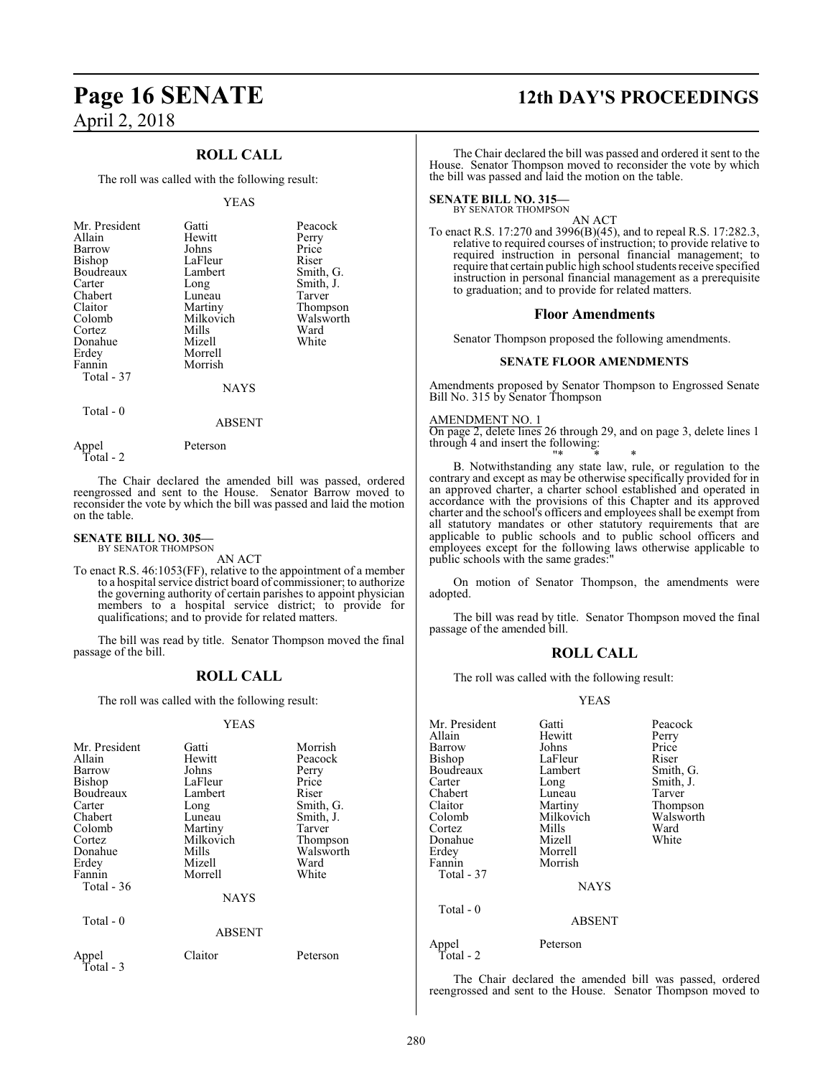### **ROLL CALL**

The roll was called with the following result:

#### YEAS

| Mr. President | Gatti     | Peacock   |
|---------------|-----------|-----------|
| Allain        | Hewitt    | Perry     |
| Barrow        | Johns     | Price     |
| Bishop        | LaFleur   | Riser     |
| Boudreaux     | Lambert   | Smith, G. |
| Carter        | Long      | Smith, J. |
| Chabert       | Luneau    | Tarver    |
| Claitor       | Martiny   | Thompson  |
| Colomb        | Milkovich | Walsworth |
| Cortez        | Mills     | Ward      |
| Donahue       | Mizell    | White     |
| Erdey         | Morrell   |           |
| Fannin        | Morrish   |           |
| Total - 37    |           |           |
|               | NAYS      |           |

Total - 0

ABSENT

Appel Peterson Total - 2

on the table.

The Chair declared the amended bill was passed, ordered reengrossed and sent to the House. Senator Barrow moved to reconsider the vote by which the bill was passed and laid the motion

### **SENATE BILL NO. 305—** BY SENATOR THOMPSON

AN ACT

To enact R.S. 46:1053(FF), relative to the appointment of a member to a hospital service district board of commissioner; to authorize the governing authority of certain parishes to appoint physician members to a hospital service district; to provide for qualifications; and to provide for related matters.

The bill was read by title. Senator Thompson moved the final passage of the bill.

### **ROLL CALL**

The roll was called with the following result:

#### YEAS

| Mr. President<br>Allain<br>Barrow<br><b>Bishop</b><br>Boudreaux<br>Carter<br>Chabert<br>Colomb<br>Cortez<br>Donahue<br>Erdey<br>Fannin<br>Total - 36 | Gatti<br>Hewitt<br>Johns<br>LaFleur<br>Lambert<br>Long<br>Luneau<br>Martiny<br>Milkovich<br>Mills<br>Mizell<br>Morrell<br><b>NAYS</b> | Morrish<br>Peacock<br>Perry<br>Price<br>Riser<br>Smith, G.<br>Smith, J.<br>Tarver<br>Thompson<br>Walsworth<br>Ward<br>White |
|------------------------------------------------------------------------------------------------------------------------------------------------------|---------------------------------------------------------------------------------------------------------------------------------------|-----------------------------------------------------------------------------------------------------------------------------|
|                                                                                                                                                      |                                                                                                                                       |                                                                                                                             |
| Total $-0$                                                                                                                                           | <b>ABSENT</b>                                                                                                                         |                                                                                                                             |
| Appel<br>Total - 3                                                                                                                                   | Claitor                                                                                                                               | Peterson                                                                                                                    |

### **Page 16 SENATE 12th DAY'S PROCEEDINGS**

The Chair declared the bill was passed and ordered it sent to the House. Senator Thompson moved to reconsider the vote by which the bill was passed and laid the motion on the table.

### **SENATE BILL NO. 315—**

BY SENATOR THOMPSON

AN ACT To enact R.S. 17:270 and 3996(B)(45), and to repeal R.S. 17:282.3, relative to required courses of instruction; to provide relative to required instruction in personal financial management; to require that certain public high school students receive specified instruction in personal financial management as a prerequisite to graduation; and to provide for related matters.

#### **Floor Amendments**

Senator Thompson proposed the following amendments.

#### **SENATE FLOOR AMENDMENTS**

Amendments proposed by Senator Thompson to Engrossed Senate Bill No. 315 by Senator Thompson

#### AMENDMENT NO. 1

On page 2, delete lines 26 through 29, and on page 3, delete lines 1 through 4 and insert the following:

"\* \* \* B. Notwithstanding any state law, rule, or regulation to the contrary and except as may be otherwise specifically provided for in an approved charter, a charter school established and operated in accordance with the provisions of this Chapter and its approved charter and the school's officers and employees shall be exempt from all statutory mandates or other statutory requirements that are applicable to public schools and to public school officers and employees except for the following laws otherwise applicable to public schools with the same grades:

On motion of Senator Thompson, the amendments were adopted.

The bill was read by title. Senator Thompson moved the final passage of the amended bill.

### **ROLL CALL**

The roll was called with the following result:

### YEAS

| Gatti         | Peacock   |
|---------------|-----------|
| Hewitt        | Perry     |
| Johns         | Price     |
| LaFleur       | Riser     |
| Lambert       | Smith, G. |
| Long          | Smith, J. |
| Luneau        | Tarver    |
| Martiny       | Thompson  |
| Milkovich     | Walsworth |
| Mills         | Ward      |
| Mizell        | White     |
| Morrell       |           |
| Morrish       |           |
|               |           |
| <b>NAYS</b>   |           |
|               |           |
| <b>ABSENT</b> |           |
| Peterson      |           |
|               |           |

The Chair declared the amended bill was passed, ordered reengrossed and sent to the House. Senator Thompson moved to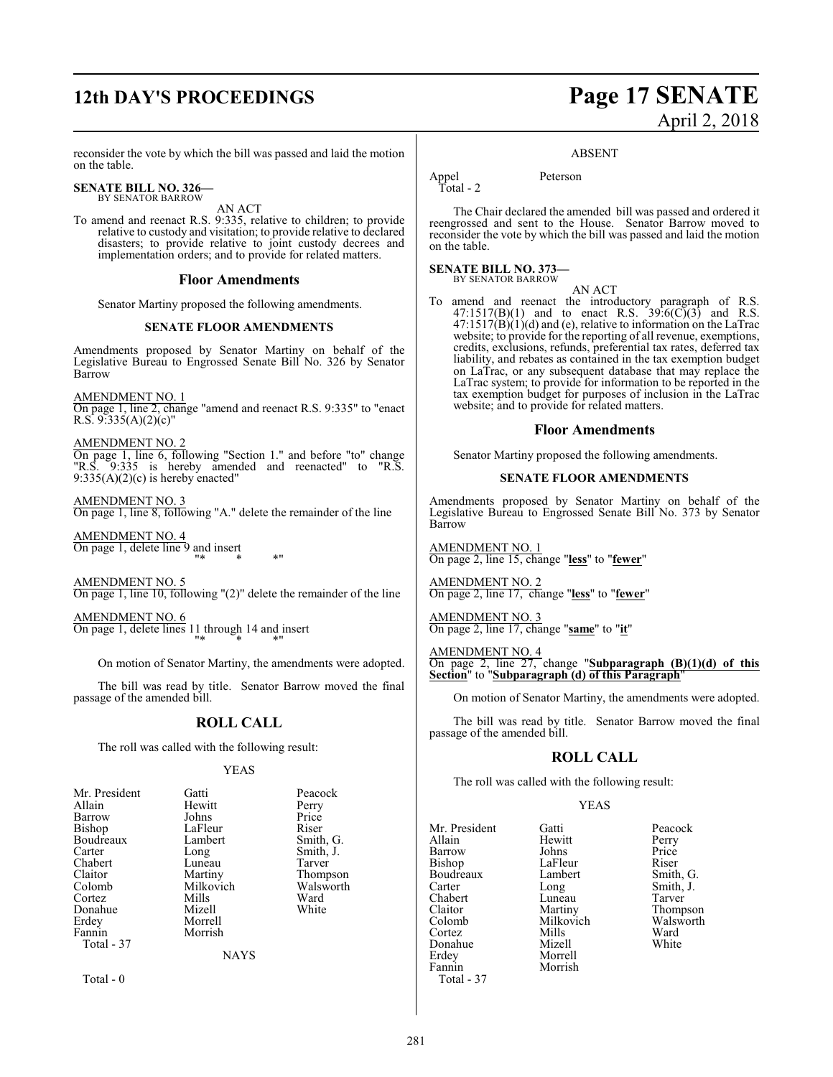## **12th DAY'S PROCEEDINGS Page 17 SENATE**

### reconsider the vote by which the bill was passed and laid the motion on the table.

#### **SENATE BILL NO. 326—** BY SENATOR BARROW

AN ACT

To amend and reenact R.S. 9:335, relative to children; to provide relative to custody and visitation; to provide relative to declared disasters; to provide relative to joint custody decrees and implementation orders; and to provide for related matters.

### **Floor Amendments**

Senator Martiny proposed the following amendments.

### **SENATE FLOOR AMENDMENTS**

Amendments proposed by Senator Martiny on behalf of the Legislative Bureau to Engrossed Senate Bill No. 326 by Senator Barrow

AMENDMENT NO. 1 On page 1, line 2, change "amend and reenact R.S. 9:335" to "enact R.S.  $9.335(A)(2)(c)$ "

AMENDMENT NO. 2 On page 1, line 6, following "Section 1." and before "to" change "R.S. 9:335 is hereby amended and reenacted" to "R.S.  $9:335(A)(2)(c)$  is hereby enacted"

AMENDMENT NO. 3 On page 1, line 8, following "A." delete the remainder of the line

AMENDMENT NO. 4 On page 1, delete line 9 and insert "\* \* \*"

AMENDMENT NO. 5 On page 1, line 10, following "(2)" delete the remainder of the line

AMENDMENT NO. 6 On page 1, delete lines 11 through 14 and insert "\* \* \*"

On motion of Senator Martiny, the amendments were adopted.

The bill was read by title. Senator Barrow moved the final passage of the amended bill.

### **ROLL CALL**

The roll was called with the following result:

### YEAS

| Mr. President | Gatti       | Peacock   |
|---------------|-------------|-----------|
| Allain        | Hewitt      | Perry     |
| Barrow        | Johns       | Price     |
| Bishop        | LaFleur     | Riser     |
| Boudreaux     | Lambert     | Smith, G. |
| Carter        | Long        | Smith, J. |
| Chabert       | Luneau      | Tarver    |
| Claitor       | Martiny     | Thompson  |
| Colomb        | Milkovich   | Walsworth |
| Cortez        | Mills       | Ward      |
| Donahue       | Mizell      | White     |
| Erdey         | Morrell     |           |
| Fannin        | Morrish     |           |
| Total - 37    |             |           |
|               | <b>NAYS</b> |           |
|               |             |           |
|               |             |           |

Total - 0

# April 2, 2018

#### ABSENT

Appel Peterson Total - 2

The Chair declared the amended bill was passed and ordered it reengrossed and sent to the House. Senator Barrow moved to reconsider the vote by which the bill was passed and laid the motion on the table.

#### **SENATE BILL NO. 373—** BY SENATOR BARROW

AN ACT

To amend and reenact the introductory paragraph of R.S.  $47:1517(B)(1)$  and to enact R.S.  $39:6(C)(3)$  and R.S.  $47:1517(B)(1)(d)$  and (e), relative to information on the LaTrac website; to provide for the reporting of all revenue, exemptions, credits, exclusions, refunds, preferential tax rates, deferred tax liability, and rebates as contained in the tax exemption budget on LaTrac, or any subsequent database that may replace the LaTrac system; to provide for information to be reported in the tax exemption budget for purposes of inclusion in the LaTrac website; and to provide for related matters.

### **Floor Amendments**

Senator Martiny proposed the following amendments.

### **SENATE FLOOR AMENDMENTS**

Amendments proposed by Senator Martiny on behalf of the Legislative Bureau to Engrossed Senate Bill No. 373 by Senator Barrow

AMENDMENT NO. 1 On page 2, line 15, change "**less**" to "**fewer**"

AMENDMENT NO. 2 On page 2, line 17, change "**less**" to "**fewer**"

AMENDMENT NO. 3 On page 2, line 17, change "**same**" to "**it**"

AMENDMENT NO. 4

On page 2, line 27, change "**Subparagraph (B)(1)(d) of this Section**" to "**Subparagraph (d) of this Paragraph**"

On motion of Senator Martiny, the amendments were adopted.

The bill was read by title. Senator Barrow moved the final passage of the amended bill.

### **ROLL CALL**

The roll was called with the following result:

### YEAS

Mr. President Gatti Peacock Allain Hewitt Perry Barrow Johns Price Bishop LaFleur Riser<br>Boudreaux Lambert Smith, G. Boudreaux Lamb<br>Carter Long Carter Long Smith, J.<br>Chabert Luneau Tarver Chabert Luneau<br>Claitor Martiny Claitor Martiny Thompson Cortez Mills Ward<br>
Mizell White<br>
Mizell White Morrell Fannin Morrish

Milkovich Walsw<br>Mills Ward

Donahue<br>Erdev

Total - 37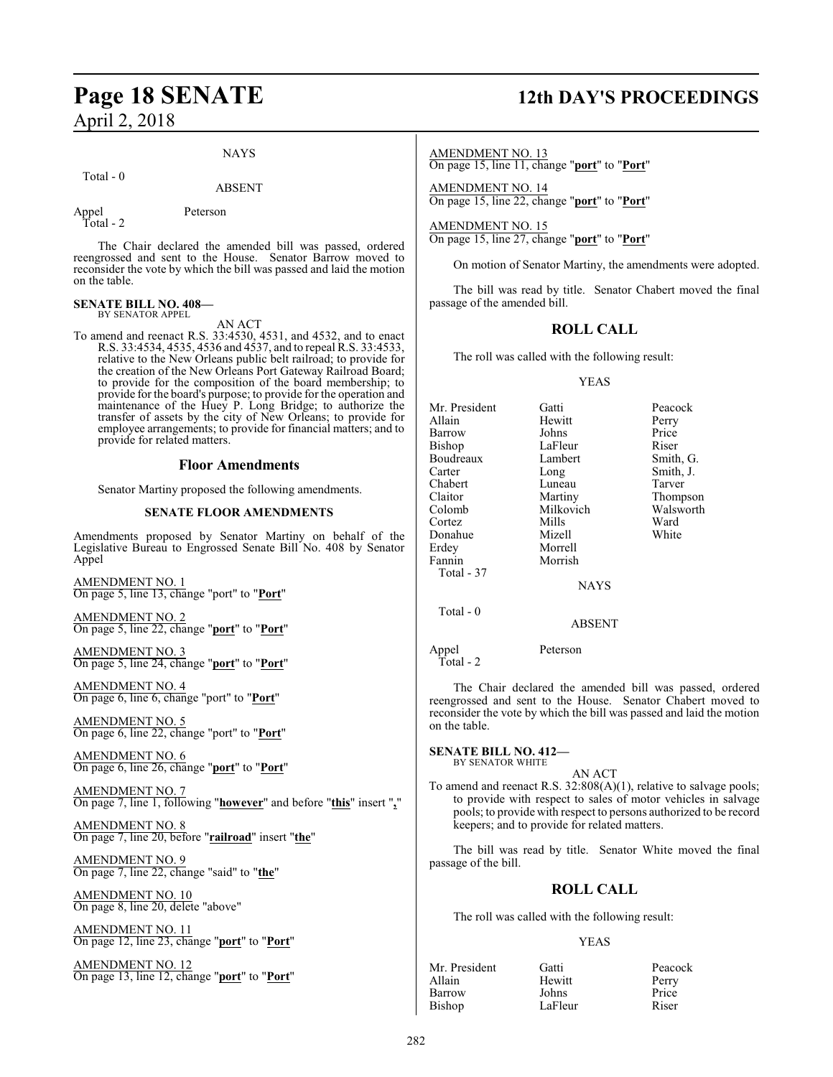### NAYS

Total - 0

### ABSENT

Appel Peterson

Total - 2

The Chair declared the amended bill was passed, ordered reengrossed and sent to the House. Senator Barrow moved to reconsider the vote by which the bill was passed and laid the motion on the table.

#### **SENATE BILL NO. 408—** BY SENATOR APPEL

AN ACT

To amend and reenact R.S. 33:4530, 4531, and 4532, and to enact R.S. 33:4534, 4535, 4536 and 4537, and to repeal R.S. 33:4533, relative to the New Orleans public belt railroad; to provide for the creation of the New Orleans Port Gateway Railroad Board; to provide for the composition of the board membership; to provide for the board's purpose; to provide for the operation and maintenance of the Huey P. Long Bridge; to authorize the transfer of assets by the city of New Orleans; to provide for employee arrangements; to provide for financial matters; and to provide for related matters.

### **Floor Amendments**

Senator Martiny proposed the following amendments.

### **SENATE FLOOR AMENDMENTS**

Amendments proposed by Senator Martiny on behalf of the Legislative Bureau to Engrossed Senate Bill No. 408 by Senator Appel

AMENDMENT NO. 1 On page 5, line 13, change "port" to "**Port**"

AMENDMENT NO. 2 On page 5, line 22, change "**port**" to "**Port**"

AMENDMENT NO. 3 On page 5, line 24, change "**port**" to "**Port**"

AMENDMENT NO. 4 On page 6, line 6, change "port" to "**Port**"

AMENDMENT NO. 5 On page 6, line 22, change "port" to "**Port**"

AMENDMENT NO. 6 On page 6, line 26, change "**port**" to "**Port**"

AMENDMENT NO. 7 On page 7, line 1, following "**however**" and before "**this**" insert "**,**"

AMENDMENT NO. 8 On page 7, line 20, before "**railroad**" insert "**the**"

AMENDMENT NO. 9 On page 7, line 22, change "said" to "**the**"

AMENDMENT NO. 10 On page 8, line 20, delete "above"

AMENDMENT NO. 11 On page 12, line 23, change "**port**" to "**Port**"

AMENDMENT NO. 12 On page 13, line 12, change "**port**" to "**Port**"

## **Page 18 SENATE 12th DAY'S PROCEEDINGS**

AMENDMENT NO. 13 On page 15, line 11, change "**port**" to "**Port**"

AMENDMENT NO. 14 On page 15, line 22, change "**port**" to "**Port**"

AMENDMENT NO. 15 On page 15, line 27, change "**port**" to "**Port**"

On motion of Senator Martiny, the amendments were adopted.

The bill was read by title. Senator Chabert moved the final passage of the amended bill.

### **ROLL CALL**

The roll was called with the following result:

### YEAS

| Mr. President | Gatti            | Peacock   |
|---------------|------------------|-----------|
| Allain        | Hewitt           | Perry     |
| Barrow        | Johns            | Price     |
| Bishop        | LaFleur          | Riser     |
| Boudreaux     | Lambert          | Smith, G. |
| Carter        | Long             | Smith, J. |
| Chabert       | Luneau           | Tarver    |
| Claitor       | Martiny          | Thompson  |
| Colomb        | Milkovich        | Walsworth |
| Cortez        | Mills            | Ward      |
| Donahue       | Mizell           | White     |
| Erdey         | Morrell          |           |
| Fannin        | Morrish          |           |
| Total - 37    |                  |           |
|               | <b>NAYS</b>      |           |
| Total - 0     |                  |           |
|               | <b>ABSENT</b>    |           |
| $A = -1$      | $D - 4 - 22 - 7$ |           |

Appel Peterson  $\overleftrightarrow{T}$ otal - 2

The Chair declared the amended bill was passed, ordered reengrossed and sent to the House. Senator Chabert moved to reconsider the vote by which the bill was passed and laid the motion on the table.

#### **SENATE BILL NO. 412—** BY SENATOR WHITE

AN ACT

To amend and reenact R.S. 32:808(A)(1), relative to salvage pools; to provide with respect to sales of motor vehicles in salvage pools; to provide with respect to persons authorized to be record keepers; and to provide for related matters.

The bill was read by title. Senator White moved the final passage of the bill.

### **ROLL CALL**

The roll was called with the following result:

### YEAS

| Mr. President | Gatti   | Peacock |
|---------------|---------|---------|
| Allain        | Hewitt  | Perry   |
| Barrow        | Johns   | Price   |
| Bishop        | LaFleur | Riser   |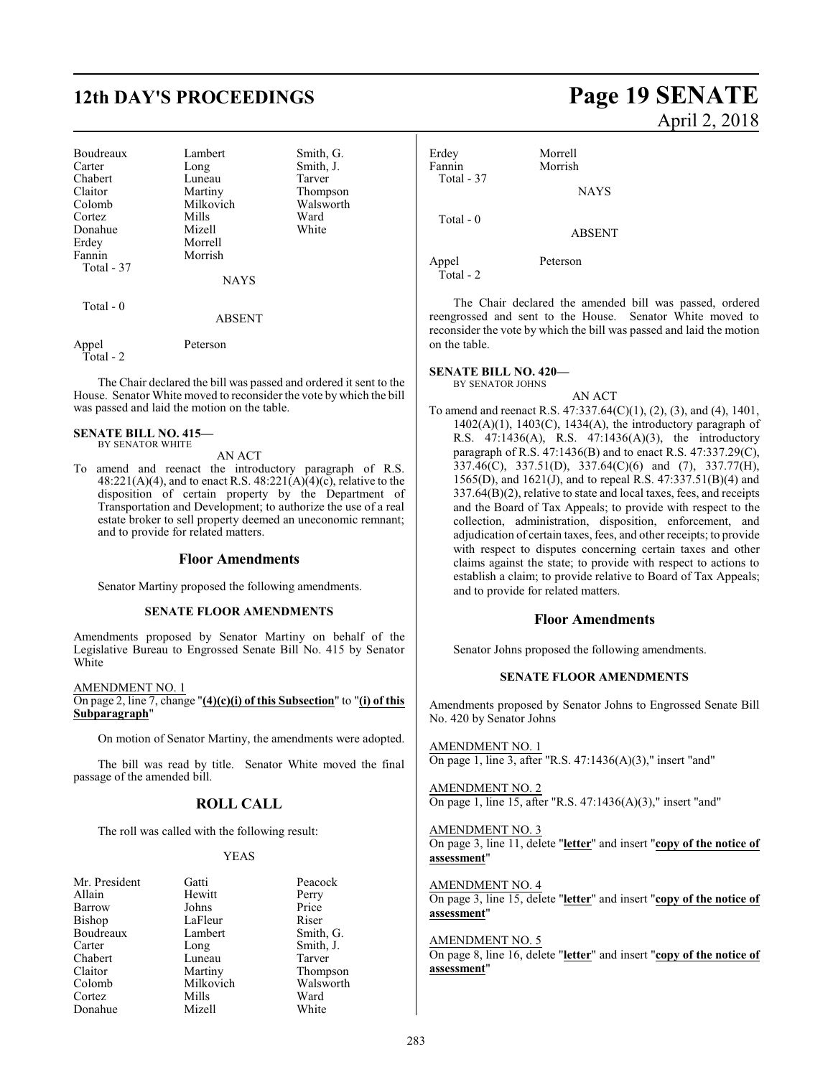## **12th DAY'S PROCEEDINGS Page 19 SENATE**

| Boudreaux<br>Carter<br>Chabert<br>Claitor<br>Colomb<br>Cortez<br>Donahue | Lambert<br>Long<br>Luneau<br>Martiny<br>Milkovich<br>Mills<br>Mizell | Smith, G.<br>Smith, J.<br>Tarver<br>Thompson<br>Walsworth<br>Ward<br>White |
|--------------------------------------------------------------------------|----------------------------------------------------------------------|----------------------------------------------------------------------------|
| Erdey                                                                    | Morrell                                                              |                                                                            |
| Fannin                                                                   | Morrish                                                              |                                                                            |
| Total - 37                                                               |                                                                      |                                                                            |
|                                                                          | <b>NAYS</b>                                                          |                                                                            |
| Total $-0$                                                               |                                                                      |                                                                            |
|                                                                          | <b>ABSENT</b>                                                        |                                                                            |
| Appel<br>Total - 2                                                       | Peterson                                                             |                                                                            |

The Chair declared the bill was passed and ordered it sent to the House. Senator White moved to reconsider the vote by which the bill was passed and laid the motion on the table.

#### **SENATE BILL NO. 415—** BY SENATOR WHITE

### AN ACT

To amend and reenact the introductory paragraph of R.S. 48:221(A)(4), and to enact R.S. 48:221(A)(4)(c), relative to the disposition of certain property by the Department of Transportation and Development; to authorize the use of a real estate broker to sell property deemed an uneconomic remnant; and to provide for related matters.

### **Floor Amendments**

Senator Martiny proposed the following amendments.

### **SENATE FLOOR AMENDMENTS**

Amendments proposed by Senator Martiny on behalf of the Legislative Bureau to Engrossed Senate Bill No. 415 by Senator White

AMENDMENT NO. 1 On page 2, line 7, change "**(4)(c)(i) of this Subsection**" to "**(i) of this Subparagraph**"

On motion of Senator Martiny, the amendments were adopted.

The bill was read by title. Senator White moved the final passage of the amended bill.

### **ROLL CALL**

The roll was called with the following result:

### YEAS

| Mr. President | Gatti     | Peacc    |
|---------------|-----------|----------|
| Allain        | Hewitt    | Perry    |
| Barrow        | Johns     | Price    |
| <b>Bishop</b> | LaFleur   | Riser    |
| Boudreaux     | Lambert   | Smith    |
| Carter        | Long      | Smith    |
| Chabert       | Luneau    | Tarve    |
| Claitor       | Martiny   | Thom     |
| Colomb        | Milkovich | Walsy    |
| Cortez        | Mills     | Ward     |
| Donahue       | Mizell    | $W$ hite |

President Gatti Peacock<br>
ain Hewitt Perry Hewitt Perry<br>Johns Price Johns Price<br>LaFleur Riser Smith, G. Long Smith, J.<br>Luneau Tarver Martiny Thompson<br>
Milkovich Walsworth Walsworth<br>Ward Donahue Mizell White

# April 2, 2018

Erdey Morrell Morrish Total - 37 **NAYS**  Total - 0 ABSENT

Appel Peterson Total - 2

on the table.

The Chair declared the amended bill was passed, ordered reengrossed and sent to the House. Senator White moved to reconsider the vote by which the bill was passed and laid the motion

### **SENATE BILL NO. 420—**

BY SENATOR JOHNS

AN ACT To amend and reenact R.S. 47:337.64(C)(1), (2), (3), and (4), 1401, 1402(A)(1), 1403(C), 1434(A), the introductory paragraph of R.S. 47:1436(A), R.S. 47:1436(A)(3), the introductory paragraph of R.S. 47:1436(B) and to enact R.S. 47:337.29(C), 337.46(C), 337.51(D), 337.64(C)(6) and (7), 337.77(H), 1565(D), and 1621(J), and to repeal R.S. 47:337.51(B)(4) and 337.64(B)(2), relative to state and local taxes, fees, and receipts and the Board of Tax Appeals; to provide with respect to the collection, administration, disposition, enforcement, and adjudication of certain taxes, fees, and other receipts; to provide with respect to disputes concerning certain taxes and other claims against the state; to provide with respect to actions to establish a claim; to provide relative to Board of Tax Appeals; and to provide for related matters.

### **Floor Amendments**

Senator Johns proposed the following amendments.

### **SENATE FLOOR AMENDMENTS**

Amendments proposed by Senator Johns to Engrossed Senate Bill No. 420 by Senator Johns

AMENDMENT NO. 1 On page 1, line 3, after "R.S. 47:1436(A)(3)," insert "and"

AMENDMENT NO. 2 On page 1, line 15, after "R.S. 47:1436(A)(3)," insert "and"

AMENDMENT NO. 3 On page 3, line 11, delete "**letter**" and insert "**copy of the notice of assessment**"

AMENDMENT NO. 4 On page 3, line 15, delete "**letter**" and insert "**copy of the notice of assessment**"

### AMENDMENT NO. 5

On page 8, line 16, delete "**letter**" and insert "**copy of the notice of assessment**"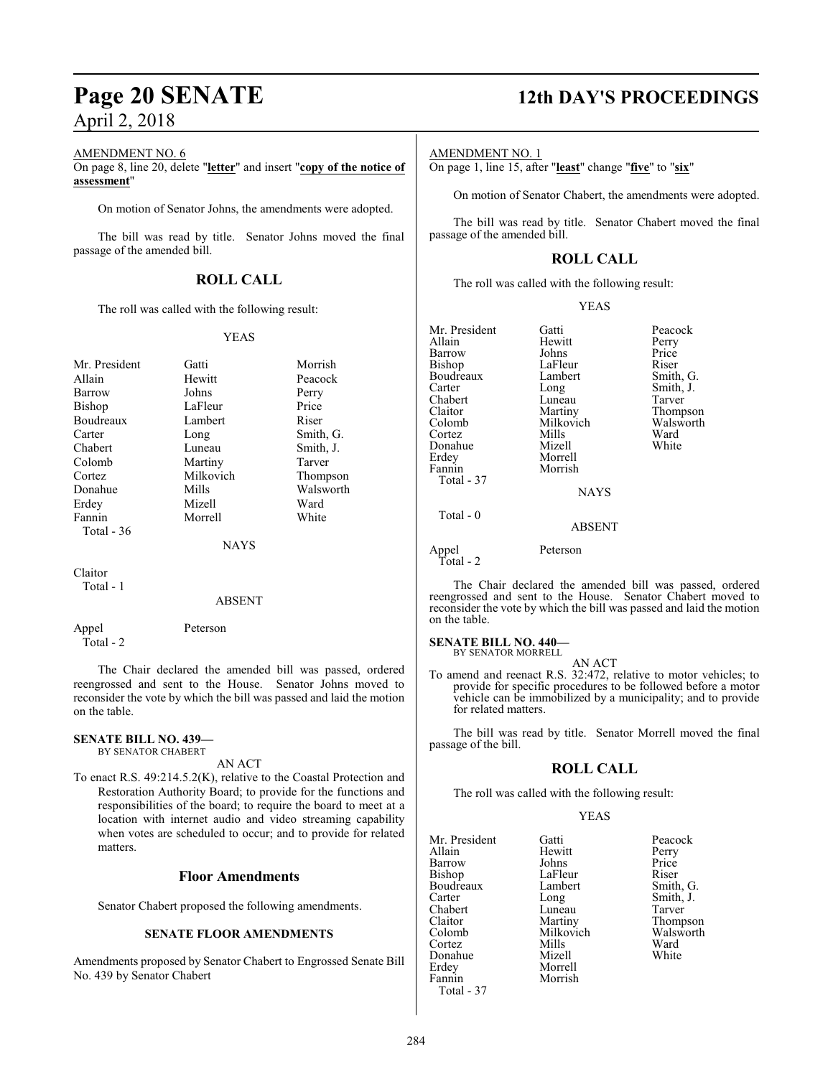### AMENDMENT NO. 6

On page 8, line 20, delete "**letter**" and insert "**copy of the notice of assessment**"

On motion of Senator Johns, the amendments were adopted.

The bill was read by title. Senator Johns moved the final passage of the amended bill.

### **ROLL CALL**

The roll was called with the following result:

### YEAS

| Mr. President | Gatti       | Morrish   |
|---------------|-------------|-----------|
| Allain        | Hewitt      | Peacock   |
| Barrow        | Johns       | Perry     |
| Bishop        | LaFleur     | Price     |
| Boudreaux     | Lambert     | Riser     |
| Carter        | Long        | Smith, G. |
| Chabert       | Luneau      | Smith, J. |
| Colomb        | Martiny     | Tarver    |
| Cortez        | Milkovich   | Thompson  |
| Donahue       | Mills       | Walsworth |
| Erdev         | Mizell      | Ward      |
| Fannin        | Morrell     | White     |
| Total $-36$   |             |           |
|               | <b>NAYS</b> |           |
| $C1$ ojton    |             |           |

Claitor Total - 1

#### ABSENT

Appel Peterson Total - 2

The Chair declared the amended bill was passed, ordered reengrossed and sent to the House. Senator Johns moved to reconsider the vote by which the bill was passed and laid the motion on the table.

### **SENATE BILL NO. 439—**

BY SENATOR CHABERT

AN ACT

To enact R.S. 49:214.5.2(K), relative to the Coastal Protection and Restoration Authority Board; to provide for the functions and responsibilities of the board; to require the board to meet at a location with internet audio and video streaming capability when votes are scheduled to occur; and to provide for related matters.

### **Floor Amendments**

Senator Chabert proposed the following amendments.

### **SENATE FLOOR AMENDMENTS**

Amendments proposed by Senator Chabert to Engrossed Senate Bill No. 439 by Senator Chabert

## **Page 20 SENATE 12th DAY'S PROCEEDINGS**

Smith, G. Smith, J. Tarver Thompson Walsworth<br>Ward

AMENDMENT NO. 1

On page 1, line 15, after "**least**" change "**five**" to "**six**"

On motion of Senator Chabert, the amendments were adopted.

The bill was read by title. Senator Chabert moved the final passage of the amended bill.

### **ROLL CALL**

The roll was called with the following result:

|--|--|

| Mr. President      | Gatti         | Peacock       |
|--------------------|---------------|---------------|
| Allain             | Hewitt        | Perry         |
| Barrow             | Johns         | Price         |
| <b>Bishop</b>      | LaFleur       | Riser         |
| Boudreaux          | Lambert       | Smith, G      |
| Carter             | Long          | Smith, J.     |
| Chabert            | Luneau        | Tarver        |
| Claitor            | Martiny       | <b>Thomps</b> |
| Colomb             | Milkovich     | Walswor       |
| Cortez             | Mills         | Ward          |
| Donahue            | Mizell        | White         |
| Erdey              | Morrell       |               |
| Fannin             | Morrish       |               |
| Total - 37         |               |               |
|                    | <b>NAYS</b>   |               |
| Total - 0          |               |               |
|                    | <b>ABSENT</b> |               |
| Appel<br>Total - 2 | Peterson      |               |
|                    |               |               |

The Chair declared the amended bill was passed, ordered reengrossed and sent to the House. Senator Chabert moved to reconsider the vote by which the bill was passed and laid the motion on the table.

### **SENATE BILL NO. 440—**

BY SENATOR MORRELL AN ACT

To amend and reenact R.S. 32:472, relative to motor vehicles; to provide for specific procedures to be followed before a motor vehicle can be immobilized by a municipality; and to provide for related matters.

The bill was read by title. Senator Morrell moved the final passage of the bill.

### **ROLL CALL**

The roll was called with the following result:

Morrish

#### YEAS

Mr. President Gatti Peacock<br>Allain Hewitt Perry Barrow Johns Price<br>Bishop LaFleur Riser Boudreaux Lamb<br>Carter Long Carter Long Smith, J.<br>
Chabert Luneau Tarver Chabert Luneau<br>Claitor Martiny Claitor Martiny Thompson Cortez Mills Ward Donahue Erdey Morrell Total - 37

Hewitt Perry<br>Johns Price LaFleur Riser<br>Lambert Smith, G. Milkovich Walsworth<br>
Mills Ward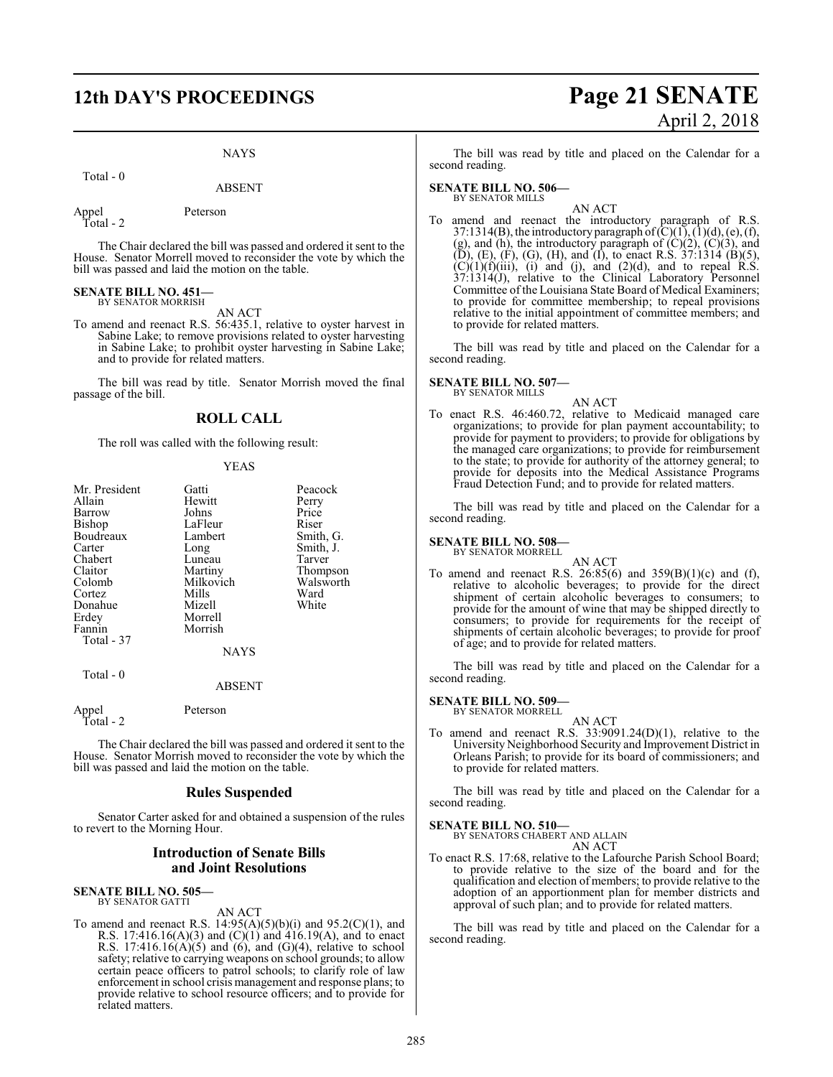### **12th DAY'S PROCEEDINGS Page 21 SENATE**

### NAYS

Total - 0

Appel Peterson

Total - 2

The Chair declared the bill was passed and ordered it sent to the House. Senator Morrell moved to reconsider the vote by which the bill was passed and laid the motion on the table.

#### **SENATE BILL NO. 451—** BY SENATOR MORRISH

AN ACT

To amend and reenact R.S. 56:435.1, relative to oyster harvest in Sabine Lake; to remove provisions related to oyster harvesting in Sabine Lake; to prohibit oyster harvesting in Sabine Lake; and to provide for related matters.

The bill was read by title. Senator Morrish moved the final passage of the bill.

### **ROLL CALL**

The roll was called with the following result:

### YEAS

| Mr. President      | Gatti         | Peacock   |
|--------------------|---------------|-----------|
| Allain             | Hewitt        | Perry     |
| Barrow             | Johns         | Price     |
| Bishop             | LaFleur       | Riser     |
| Boudreaux          | Lambert       | Smith, G. |
| Carter             | Long          | Smith, J. |
| Chabert            | Luneau        | Tarver    |
| Claitor            | Martiny       | Thompson  |
| Colomb             | Milkovich     | Walsworth |
| Cortez             | Mills         | Ward      |
| Donahue            | Mizell        | White     |
| Erdey              | Morrell       |           |
| Fannin             | Morrish       |           |
| Total - 37         |               |           |
|                    | <b>NAYS</b>   |           |
| Total - 0          |               |           |
|                    | <b>ABSENT</b> |           |
| Appel<br>Total - 2 | Peterson      |           |

The Chair declared the bill was passed and ordered it sent to the House. Senator Morrish moved to reconsider the vote by which the bill was passed and laid the motion on the table.

### **Rules Suspended**

Senator Carter asked for and obtained a suspension of the rules to revert to the Morning Hour.

### **Introduction of Senate Bills and Joint Resolutions**

#### **SENATE BILL NO. 505—** BY SENATOR GATTI

AN ACT

To amend and reenact R.S.  $14:95(A)(5)(b)(i)$  and  $95.2(C)(1)$ , and R.S. 17:416.16(A)(3) and (C)(1) and 416.19(A), and to enact R.S. 17:416.16 $(A)(5)$  and  $(6)$ , and  $(G)(4)$ , relative to school safety; relative to carrying weapons on school grounds; to allow certain peace officers to patrol schools; to clarify role of law enforcement in school crisis management and response plans; to provide relative to school resource officers; and to provide for related matters.

# April 2, 2018

The bill was read by title and placed on the Calendar for a second reading.

**SENATE BILL NO. 506—** BY SENATOR MILLS

AN ACT

To amend and reenact the introductory paragraph of R.S. 37:1314(B), the introductory paragraph of  $(C)(1)$ ,  $(1)(d)$ ,  $(e)$ ,  $(f)$ , (g), and (h), the introductory paragraph of  $(C)(2)$ ,  $(C)(3)$ , and  $(D)$ ,  $(E)$ ,  $(F)$ ,  $(G)$ ,  $(H)$ , and  $(I)$ , to enact R.S. 37:1314  $(B)(5)$ ,  $(C)(1)(f)(iii)$ , (i) and (j), and (2)(d), and to repeal R.S. 37:1314(J), relative to the Clinical Laboratory Personnel Committee of the Louisiana State Board of Medical Examiners; to provide for committee membership; to repeal provisions relative to the initial appointment of committee members; and to provide for related matters.

The bill was read by title and placed on the Calendar for a second reading.

**SENATE BILL NO. 507—** BY SENATOR MILLS

AN ACT

To enact R.S. 46:460.72, relative to Medicaid managed care organizations; to provide for plan payment accountability; to provide for payment to providers; to provide for obligations by the managed care organizations; to provide for reimbursement to the state; to provide for authority of the attorney general; to provide for deposits into the Medical Assistance Programs Fraud Detection Fund; and to provide for related matters.

The bill was read by title and placed on the Calendar for a second reading.

### **SENATE BILL NO. 508—**

BY SENATOR MORRELL

AN ACT To amend and reenact R.S. 26:85(6) and  $359(B)(1)(c)$  and (f), relative to alcoholic beverages; to provide for the direct shipment of certain alcoholic beverages to consumers; to provide for the amount of wine that may be shipped directly to consumers; to provide for requirements for the receipt of shipments of certain alcoholic beverages; to provide for proof of age; and to provide for related matters.

The bill was read by title and placed on the Calendar for a second reading.

### **SENATE BILL NO. 509—** BY SENATOR MORRELL

AN ACT

To amend and reenact R.S. 33:9091.24(D)(1), relative to the University Neighborhood Security and Improvement District in Orleans Parish; to provide for its board of commissioners; and to provide for related matters.

The bill was read by title and placed on the Calendar for a second reading.

### **SENATE BILL NO. 510—**

BY SENATORS CHABERT AND ALLAIN AN ACT

To enact R.S. 17:68, relative to the Lafourche Parish School Board; to provide relative to the size of the board and for the qualification and election of members; to provide relative to the adoption of an apportionment plan for member districts and approval of such plan; and to provide for related matters.

The bill was read by title and placed on the Calendar for a second reading.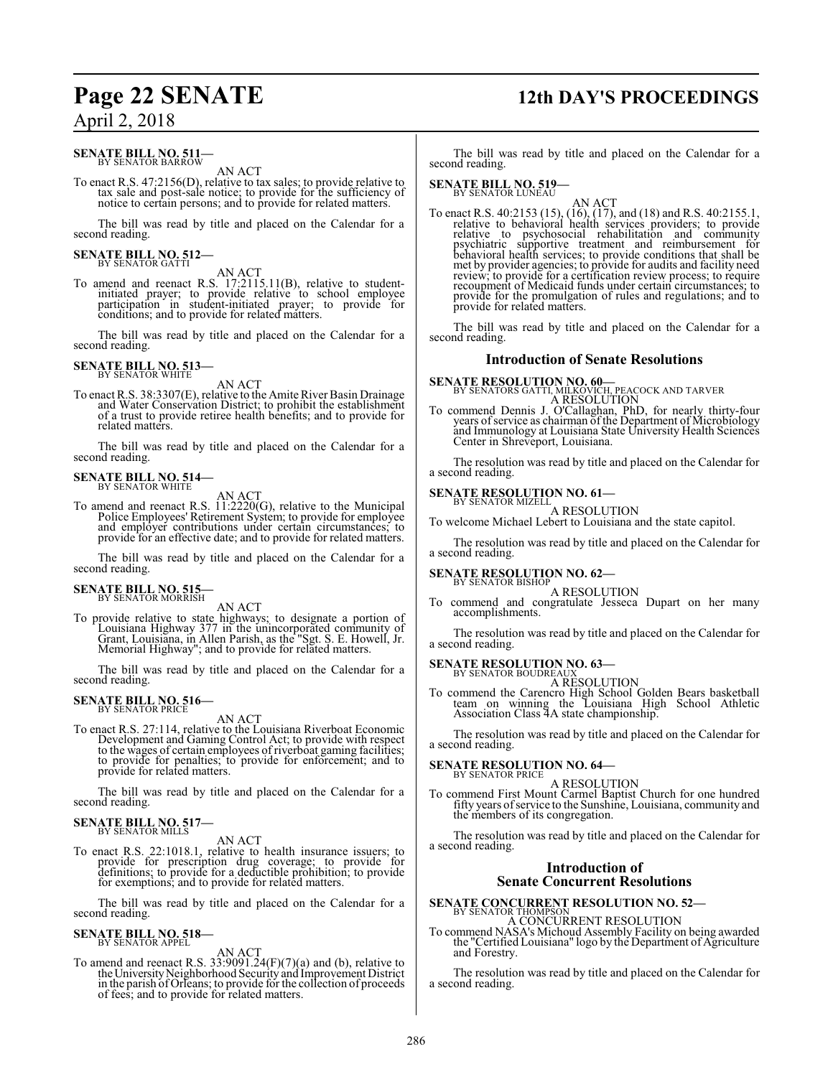### **SENATE BILL NO. 511-**<br>BY SENATOR BARROW

AN ACT

To enact R.S. 47:2156(D), relative to tax sales; to provide relative to tax sale and post-sale notice; to provide for the sufficiency of notice to certain persons; and to provide for related matters.

The bill was read by title and placed on the Calendar for a second reading.

### **SENATE BILL NO. 512-**<br>BY SENATOR GATTI

AN ACT<br>To amend and reenact R.S. 17:2115.11(B), relative to student-<br>initiated prayer; to provide relative to school employee<br>participation in student-initiated prayer; to provide for<br>conditions; and to provide for related

The bill was read by title and placed on the Calendar for a second reading.

### **SENATE BILL NO. 513-**

AN ACT

To enact R.S. 38:3307(E), relative to the Amite River Basin Drainage and Water Conservation District; to prohibit the establishment of a trust to provide retiree health benefits; and to provide for related matters.

The bill was read by title and placed on the Calendar for a second reading.

# **SENATE BILL NO. 514-**<br>BY SENATOR WHITE

AN ACT<br>To amend and reenact R.S. 11:2220(G), relative to the Municipal Police Employees' Retirement System; to provide for employee and employer contributions under certain circumstances; to provide for an effective date; and to provide for related matters.

The bill was read by title and placed on the Calendar for a second reading.

### **SENATE BILL NO. 515–** BY SENATOR MORRISH

AN ACT<br>To provide relative to state highways; to designate a portion of<br>Louisiana Highway 377 in the unincorporated community of<br>Grant, Louisiana, in Allen Parish, as the "Sgt. S. E. Howell, Jr. Memorial Highway"; and to provide for related matters.

The bill was read by title and placed on the Calendar for a second reading.

# **SENATE BILL NO. 516-**<br>BY SENATOR PRICE

AN ACT To enact R.S. 27:114, relative to the Louisiana Riverboat Economic Development and Gaming Control Act; to provide with respect to the wages of certain employees of riverboat gaming facilities; to provide for penalties; to provide for enforcement; and to provide for related matters.

The bill was read by title and placed on the Calendar for a second reading.

### **SENATE BILL NO. 517-** BY SENATOR MILLS

AN ACT

To enact R.S. 22:1018.1, relative to health insurance issuers; to provide for prescription drug coverage; to provide for definitions; to provide for a deductible prohibition; to provide for exemptions; and to provide for related matters.

The bill was read by title and placed on the Calendar for a second reading.

# **SENATE BILL NO. 518-**<br>BY SENATOR APPEL

AN ACT<br>To amend and reenact R.S. 33:9091.24(F)(7)(a) and (b), relative to<br>the University Neighborhood Security and Improvement District in the parish of Orleans; to provide for the collection of proceeds of fees; and to provide for related matters.

### **Page 22 SENATE 12th DAY'S PROCEEDINGS**

The bill was read by title and placed on the Calendar for a second reading.

### **SENATE BILL NO. 519-**<br>BY SENATOR LUNEAU

AN ACT<br>To enact R.S. 40:2153 (15), (16), (17), and (18) and R.S. 40:2155.1,<br>relative to behavioral health services providers; to provide<br>relative to psychosocial rehabilitation and community psychiatric supportive treatment and reimbursement for<br>behavioral health services; to provide conditions that shall be<br>met by provider agencies; to provide for audits and facility need<br>review; to provide for a certificatio recoupment of Medicaid funds under certain circumstances provide for the promulgation of rules and regulations; and to provide for related matters.

The bill was read by title and placed on the Calendar for a second reading.

### **Introduction of Senate Resolutions**

**SENATE RESOLUTION NO. 60—**<br>BY SENATORS GATTI, MILKOVICH, PEACOCK AND TARVER<br>To commend Dennis J. O'Callaghan, PhD, for nearly thirty-four<br>years of service as chairman of the Department of Microbiology and Immunology at Louisiana State University Health Sciences Center in Shreveport, Louisiana.

The resolution was read by title and placed on the Calendar for a second reading.

### **SENATE RESOLUTION NO. 61-**<br>BY SENATOR MIZELL

A RESOLUTION

To welcome Michael Lebert to Louisiana and the state capitol.

The resolution was read by title and placed on the Calendar for a second reading.

### **SENATE RESOLUTION NO. 62–** BY SENATOR BISHOP

A RESOLUTION

To commend and congratulate Jesseca Dupart on her many accomplishments.

The resolution was read by title and placed on the Calendar for a second reading.

# **SENATE RESOLUTION NO. 63–**<br>BY SENATOR BOUDREAUX

A RESOLUTION

To commend the Carencro High School Golden Bears basketball team on winning the Louisiana High School Athletic Association Class 4A state championship.

The resolution was read by title and placed on the Calendar for a second reading.

# **SENATE RESOLUTION NO. 64–**<br>BY SENATOR PRICE

A RESOLUTION

To commend First Mount Carmel Baptist Church for one hundred fifty years ofservice to the Sunshine, Louisiana, community and the members of its congregation.

The resolution was read by title and placed on the Calendar for a second reading.

### **Introduction of Senate Concurrent Resolutions**

### **SENATE CONCURRENT RESOLUTION NO. 52-BY SENATOR THOMPSON**

A CONCURRENT RESOLUTION

To commend NASA's Michoud Assembly Facility on being awarded the "Certified Louisiana" logo by the Department of Agriculture and Forestry.

The resolution was read by title and placed on the Calendar for a second reading.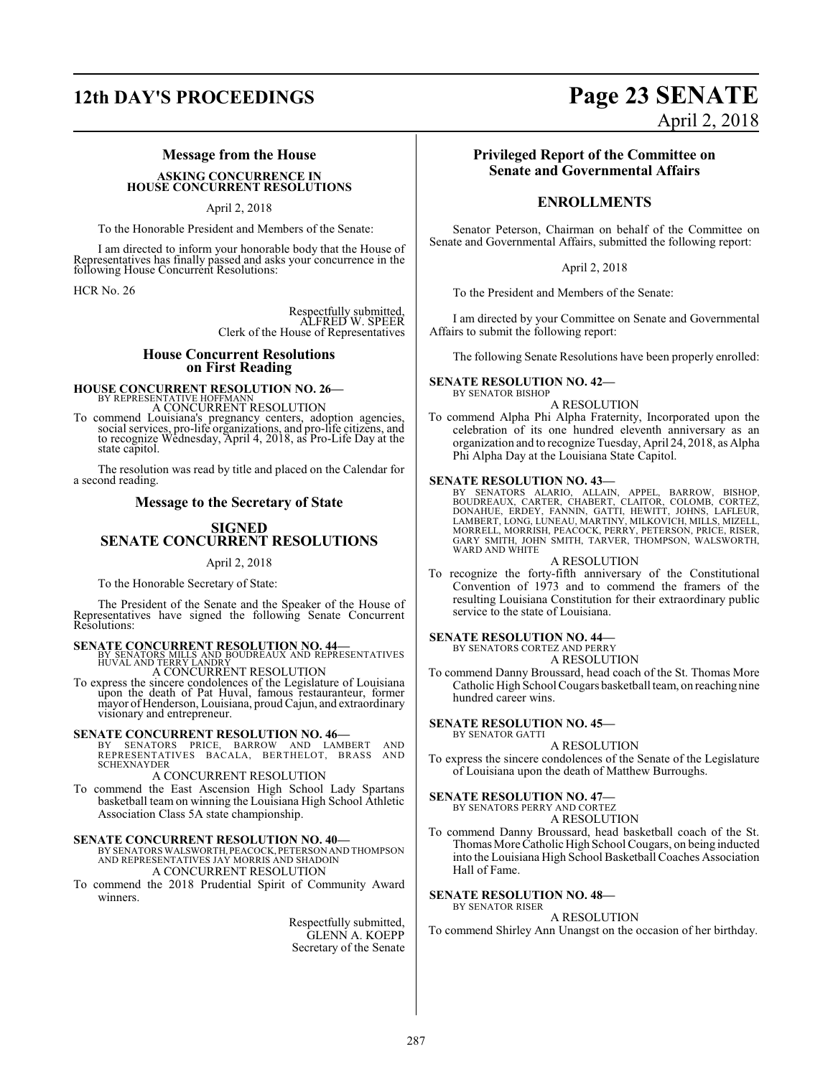### **12th DAY'S PROCEEDINGS Page 23 SENATE**

### **Message from the House**

#### **ASKING CONCURRENCE IN HOUSE CONCURRENT RESOLUTIONS**

April 2, 2018

To the Honorable President and Members of the Senate:

I am directed to inform your honorable body that the House of Representatives has finally passed and asks your concurrence in the following House Concurrent Resolutions:

HCR No. 26

Respectfully submitted, ALFRED W. SPEER Clerk of the House of Representatives

### **House Concurrent Resolutions on First Reading**

### **HOUSE CONCURRENT RESOLUTION NO. 26—**<br>BY REPRESENTATIVE HOFFMANN **REQUIRENT** A CONCURRENT RESOLUTION

To commend Louisiana's pregnancy centers, adoption agencies, social services, pro-life organizations, and pro-life citizens, and to recognize Wednesday, April 4, 2018, as Pro-Life Day at the state capitol.

The resolution was read by title and placed on the Calendar for a second reading.

### **Message to the Secretary of State**

### **SIGNED SENATE CONCURRENT RESOLUTIONS**

### April 2, 2018

To the Honorable Secretary of State:

The President of the Senate and the Speaker of the House of Representatives have signed the following Senate Concurrent Resolutions:

**SENATE CONCURRENT RESOLUTION NO. 44**<br>BY SENATORS MILLS AND BOUDREAUX AND REPRESENTATIVES<br>HUVAL AND TERRY LANDRY<br>A CONCURRENT RESOLUTION

To express the sincere condolences of the Legislature of Louisiana upon the death of Pat Huval, famous restauranteur, former mayor of Henderson, Louisiana, proudCajun, and extraordinary visionary and entrepreneur.

### **SENATE CONCURRENT RESOLUTION NO. 46—**

BY SENATORS PRICE, BARROW AND LAMBERT AND REPRESENTATIVES BACALA, BERTHELOT, BRASS AND SCHEXNAYDER

A CONCURRENT RESOLUTION

To commend the East Ascension High School Lady Spartans basketball team on winning the Louisiana High School Athletic Association Class 5A state championship.

### **SENATE CONCURRENT RESOLUTION NO. 40—**

BY SENATORS WALSWORTH, PEACOCK, PETERSON AND THOMPSON AND REPRESENTATIVES JAY MORRIS AND SHADOIN A CONCURRENT RESOLUTION

### To commend the 2018 Prudential Spirit of Community Award

winners.

Respectfully submitted, GLENN A. KOEPP Secretary of the Senate

### **Privileged Report of the Committee on Senate and Governmental Affairs**

April 2, 2018

### **ENROLLMENTS**

Senator Peterson, Chairman on behalf of the Committee on Senate and Governmental Affairs, submitted the following report:

April 2, 2018

To the President and Members of the Senate:

I am directed by your Committee on Senate and Governmental Affairs to submit the following report:

The following Senate Resolutions have been properly enrolled:

**SENATE RESOLUTION NO. 42—** BY SENATOR BISHOP

A RESOLUTION

To commend Alpha Phi Alpha Fraternity, Incorporated upon the celebration of its one hundred eleventh anniversary as an organization and to recognize Tuesday, April 24, 2018, as Alpha Phi Alpha Day at the Louisiana State Capitol.

### **SENATE RESOLUTION NO. 43—**

BY SENATORS ALARIO, ALLAIN, APPEL, BARROW, BISHOP,<br>BOUDREAUX, CARTER, CHABERT, CLAITOR, COLOMB, CORTEZ,<br>DONAHUE, ERDEY, FANNIN, GATTI, HEWITT, JOHNS, LAFLEUR,<br>LAMBERT, LONG, LUNEAU, MARTINY, MILKOVICH, MILLS, MIZELL, MORRELL, MORRISH, PEACOCK, PERRY, PETERSON, PRICE, RISER, GARY SMITH, JOHN SMITH, TARVER, THOMPSON, WALSWORTH, WARD AND WHITE

### A RESOLUTION

To recognize the forty-fifth anniversary of the Constitutional Convention of 1973 and to commend the framers of the resulting Louisiana Constitution for their extraordinary public service to the state of Louisiana.

### **SENATE RESOLUTION NO. 44—**

BY SENATORS CORTEZ AND PERRY A RESOLUTION

To commend Danny Broussard, head coach of the St. Thomas More Catholic High School Cougars basketball team, on reaching nine hundred career wins.

### **SENATE RESOLUTION NO. 45—**

BY SENATOR GATTI A RESOLUTION

To express the sincere condolences of the Senate of the Legislature of Louisiana upon the death of Matthew Burroughs.

### **SENATE RESOLUTION NO. 47—**

BY SENATORS PERRY AND CORTEZ

- A RESOLUTION
- To commend Danny Broussard, head basketball coach of the St. Thomas More Catholic High School Cougars, on being inducted into the Louisiana High School Basketball Coaches Association Hall of Fame.

#### **SENATE RESOLUTION NO. 48—** BY SENATOR RISER

A RESOLUTION

To commend Shirley Ann Unangst on the occasion of her birthday.